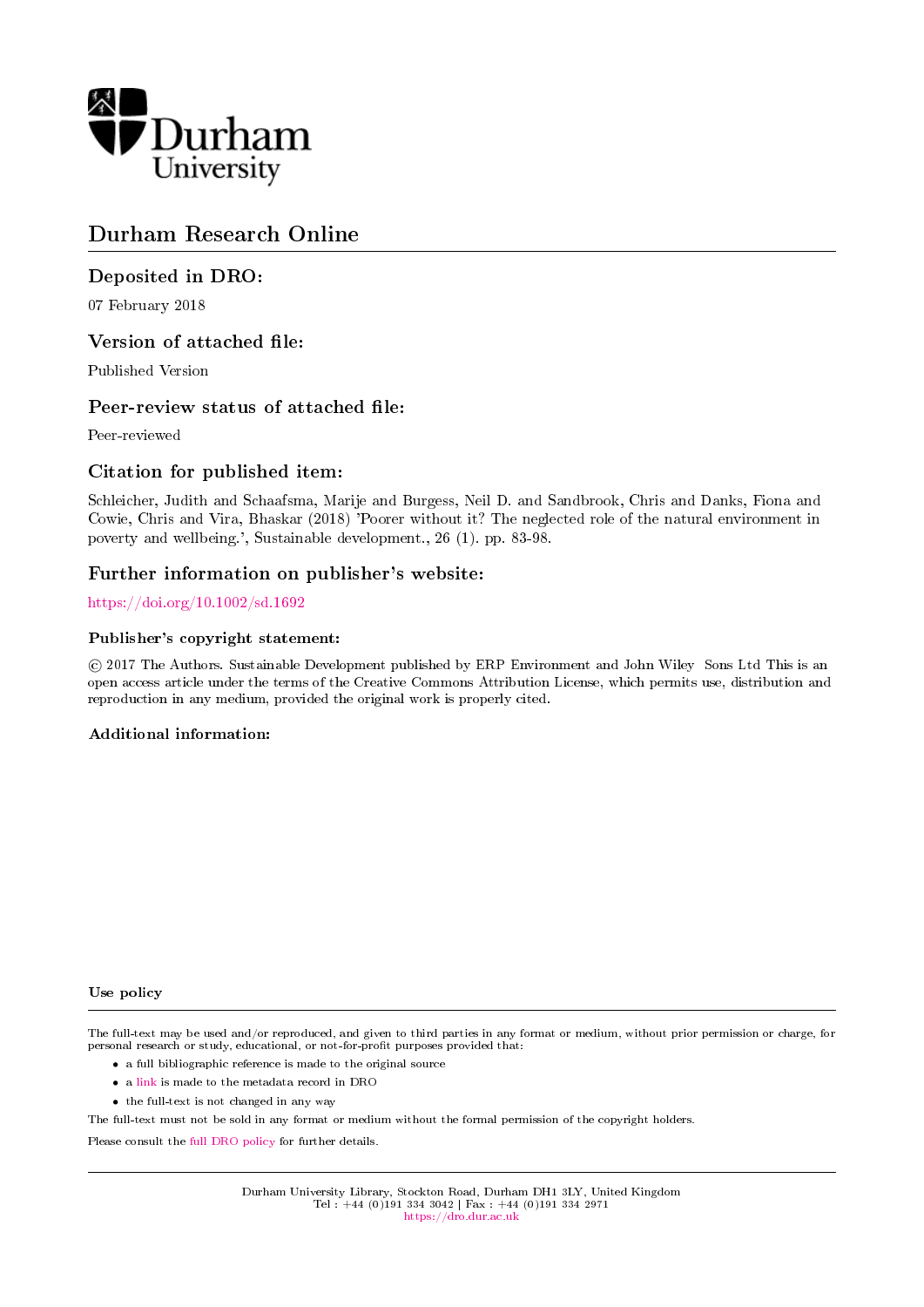

# Durham Research Online

## Deposited in DRO:

07 February 2018

## Version of attached file:

Published Version

## Peer-review status of attached file:

Peer-reviewed

## Citation for published item:

Schleicher, Judith and Schaafsma, Marije and Burgess, Neil D. and Sandbrook, Chris and Danks, Fiona and Cowie, Chris and Vira, Bhaskar (2018) 'Poorer without it? The neglected role of the natural environment in poverty and wellbeing.', Sustainable development., 26 (1). pp. 83-98.

## Further information on publisher's website:

<https://doi.org/10.1002/sd.1692>

#### Publisher's copyright statement:

 c 2017 The Authors. Sustainable Development published by ERP Environment and John Wiley Sons Ltd This is an open access article under the terms of the Creative Commons Attribution License, which permits use, distribution and reproduction in any medium, provided the original work is properly cited.

#### Additional information:

#### Use policy

The full-text may be used and/or reproduced, and given to third parties in any format or medium, without prior permission or charge, for personal research or study, educational, or not-for-profit purposes provided that:

- a full bibliographic reference is made to the original source
- a [link](http://dro.dur.ac.uk/23216/) is made to the metadata record in DRO
- the full-text is not changed in any way

The full-text must not be sold in any format or medium without the formal permission of the copyright holders.

Please consult the [full DRO policy](https://dro.dur.ac.uk/policies/usepolicy.pdf) for further details.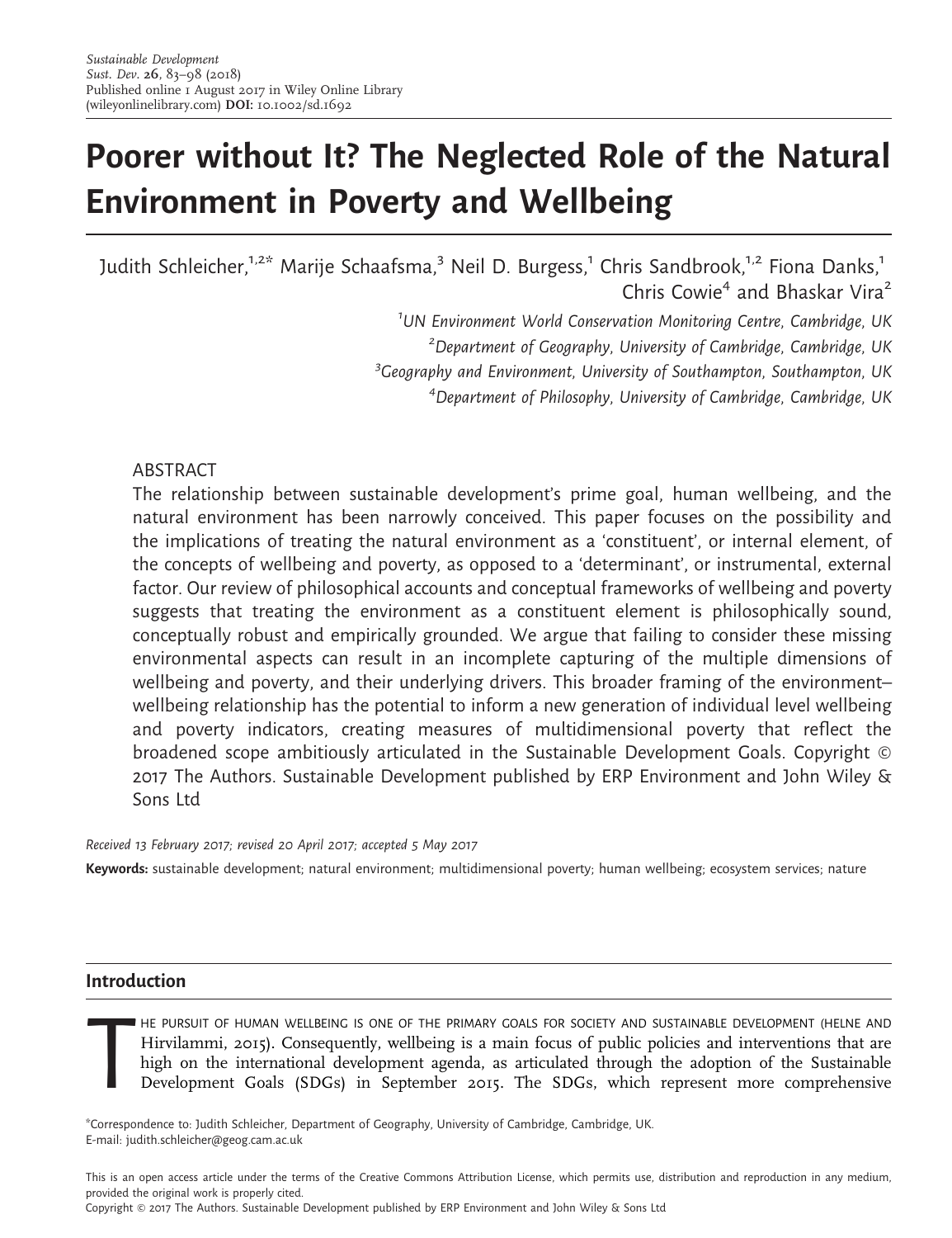# Poorer without It? The Neglected Role of the Natural Environment in Poverty and Wellbeing

Judith Schleicher,<sup>1,2\*</sup> Marije Schaafsma,<sup>3</sup> Neil D. Burgess,<sup>1</sup> Chris Sandbrook,<sup>1,2</sup> Fiona Danks,<sup>1</sup> Chris Cowie<sup>4</sup> and Bhaskar Vira<sup>2</sup>

 $1$ UN Environment World Conservation Monitoring Centre, Cambridge, UK

 $^2$ Department of Geography, University of Cambridge, Cambridge, UK

 $^3$ Geography and Environment, University of Southampton, Southampton, UK

4 Department of Philosophy, University of Cambridge, Cambridge, UK

## ABSTRACT

The relationship between sustainable development's prime goal, human wellbeing, and the natural environment has been narrowly conceived. This paper focuses on the possibility and the implications of treating the natural environment as a 'constituent', or internal element, of the concepts of wellbeing and poverty, as opposed to a 'determinant', or instrumental, external factor. Our review of philosophical accounts and conceptual frameworks of wellbeing and poverty suggests that treating the environment as a constituent element is philosophically sound, conceptually robust and empirically grounded. We argue that failing to consider these missing environmental aspects can result in an incomplete capturing of the multiple dimensions of wellbeing and poverty, and their underlying drivers. This broader framing of the environment– wellbeing relationship has the potential to inform a new generation of individual level wellbeing and poverty indicators, creating measures of multidimensional poverty that reflect the broadened scope ambitiously articulated in the Sustainable Development Goals. Copyright © 2017 The Authors. Sustainable Development published by ERP Environment and John Wiley & Sons Ltd

Received 13 February 2017; revised 20 April 2017; accepted 5 May 2017

Keywords: sustainable development; natural environment; multidimensional poverty; human wellbeing; ecosystem services; nature

#### Introduction

T HE PURSUIT OF HUMAN WELLBEING IS ONE OF THE PRIMARY GOALS FOR SOCIETY AND SUSTAINABLE DEVELOPMENT (HELNE AND Hirvilammi, 2015). Consequently, wellbeing is a main focus of public policies and interventions that are high on the international development agenda, as articulated through the adoption of the Sustainable Development Goals (SDGs) in September 2015. The SDGs, which represent more comprehensive

\*Correspondence to: Judith Schleicher, Department of Geography, University of Cambridge, Cambridge, UK. E-mail: judith.schleicher@geog.cam.ac.uk

This is an open access article under the terms of the [Creative Commons Attribution](http://creativecommons.org/licenses/by/4.0/) License, which permits use, distribution and reproduction in any medium, provided the original work is properly cited.

Copyright © 2017 The Authors. Sustainable Development published by ERP Environment and John Wiley & Sons Ltd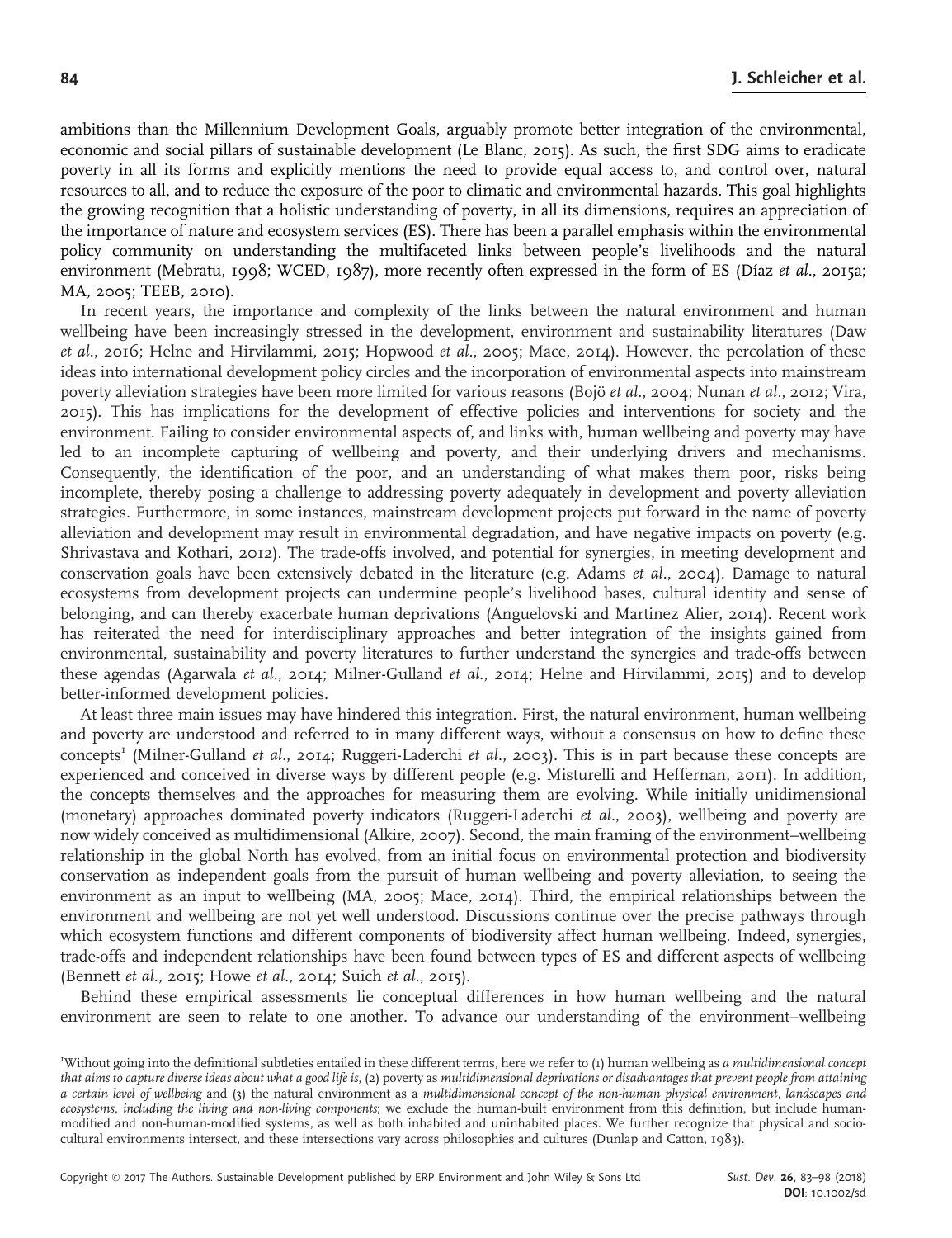ambitions than the Millennium Development Goals, arguably promote better integration of the environmental, economic and social pillars of sustainable development (Le Blanc, 2015). As such, the first SDG aims to eradicate poverty in all its forms and explicitly mentions the need to provide equal access to, and control over, natural resources to all, and to reduce the exposure of the poor to climatic and environmental hazards. This goal highlights the growing recognition that a holistic understanding of poverty, in all its dimensions, requires an appreciation of the importance of nature and ecosystem services (ES). There has been a parallel emphasis within the environmental policy community on understanding the multifaceted links between people's livelihoods and the natural environment (Mebratu, 1998; WCED, 1987), more recently often expressed in the form of ES (Díaz et al., 2015a; MA, 2005; TEEB, 2010).

In recent years, the importance and complexity of the links between the natural environment and human wellbeing have been increasingly stressed in the development, environment and sustainability literatures (Daw et al., 2016; Helne and Hirvilammi, 2015; Hopwood et al., 2005; Mace, 2014). However, the percolation of these ideas into international development policy circles and the incorporation of environmental aspects into mainstream poverty alleviation strategies have been more limited for various reasons (Bojö et al., 2004; Nunan et al., 2012; Vira, 2015). This has implications for the development of effective policies and interventions for society and the environment. Failing to consider environmental aspects of, and links with, human wellbeing and poverty may have led to an incomplete capturing of wellbeing and poverty, and their underlying drivers and mechanisms. Consequently, the identification of the poor, and an understanding of what makes them poor, risks being incomplete, thereby posing a challenge to addressing poverty adequately in development and poverty alleviation strategies. Furthermore, in some instances, mainstream development projects put forward in the name of poverty alleviation and development may result in environmental degradation, and have negative impacts on poverty (e.g. Shrivastava and Kothari, 2012). The trade-offs involved, and potential for synergies, in meeting development and conservation goals have been extensively debated in the literature (e.g. Adams et al., 2004). Damage to natural ecosystems from development projects can undermine people's livelihood bases, cultural identity and sense of belonging, and can thereby exacerbate human deprivations (Anguelovski and Martinez Alier, 2014). Recent work has reiterated the need for interdisciplinary approaches and better integration of the insights gained from environmental, sustainability and poverty literatures to further understand the synergies and trade-offs between these agendas (Agarwala et al., 2014; Milner-Gulland et al., 2014; Helne and Hirvilammi, 2015) and to develop better-informed development policies.

At least three main issues may have hindered this integration. First, the natural environment, human wellbeing and poverty are understood and referred to in many different ways, without a consensus on how to define these concepts<sup>1</sup> (Milner-Gulland *et al.*, 2014; Ruggeri-Laderchi *et al.*, 2003). This is in part because these concepts are experienced and conceived in diverse ways by different people (e.g. Misturelli and Heffernan, 2011). In addition, the concepts themselves and the approaches for measuring them are evolving. While initially unidimensional (monetary) approaches dominated poverty indicators (Ruggeri-Laderchi et al., 2003), wellbeing and poverty are now widely conceived as multidimensional (Alkire, 2007). Second, the main framing of the environment–wellbeing relationship in the global North has evolved, from an initial focus on environmental protection and biodiversity conservation as independent goals from the pursuit of human wellbeing and poverty alleviation, to seeing the environment as an input to wellbeing (MA, 2005; Mace, 2014). Third, the empirical relationships between the environment and wellbeing are not yet well understood. Discussions continue over the precise pathways through which ecosystem functions and different components of biodiversity affect human wellbeing. Indeed, synergies, trade-offs and independent relationships have been found between types of ES and different aspects of wellbeing (Bennett et al., 2015; Howe et al., 2014; Suich et al., 2015).

Behind these empirical assessments lie conceptual differences in how human wellbeing and the natural environment are seen to relate to one another. To advance our understanding of the environment–wellbeing

<sup>&</sup>lt;sup>1</sup>Without going into the definitional subtleties entailed in these different terms, here we refer to (1) human wellbeing as a multidimensional concept that aims to capture diverse ideas about what a good life is, (2) poverty as multidimensional deprivations or disadvantages that prevent people from attaining a certain level of wellbeing and (3) the natural environment as a multidimensional concept of the non-human physical environment, landscapes and ecosystems, including the living and non-living components; we exclude the human-built environment from this definition, but include humanmodified and non-human-modified systems, as well as both inhabited and uninhabited places. We further recognize that physical and sociocultural environments intersect, and these intersections vary across philosophies and cultures (Dunlap and Catton, 1983).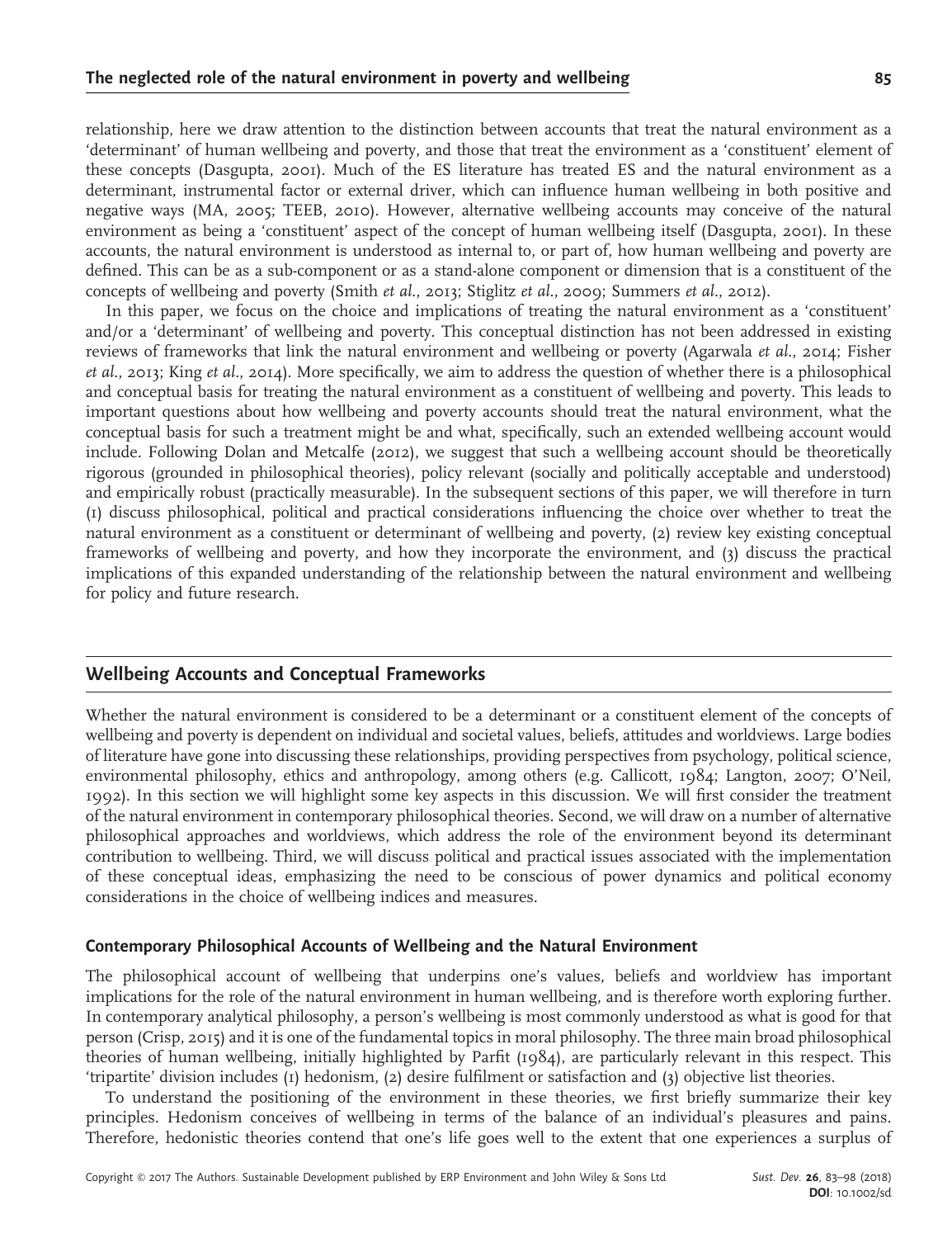relationship, here we draw attention to the distinction between accounts that treat the natural environment as a 'determinant' of human wellbeing and poverty, and those that treat the environment as a 'constituent' element of these concepts (Dasgupta, 2001). Much of the ES literature has treated ES and the natural environment as a determinant, instrumental factor or external driver, which can influence human wellbeing in both positive and negative ways (MA, 2005; TEEB, 2010). However, alternative wellbeing accounts may conceive of the natural environment as being a 'constituent' aspect of the concept of human wellbeing itself (Dasgupta, 2001). In these accounts, the natural environment is understood as internal to, or part of, how human wellbeing and poverty are defined. This can be as a sub-component or as a stand-alone component or dimension that is a constituent of the concepts of wellbeing and poverty (Smith et al., 2013; Stiglitz et al., 2009; Summers et al., 2012).

In this paper, we focus on the choice and implications of treating the natural environment as a 'constituent' and/or a 'determinant' of wellbeing and poverty. This conceptual distinction has not been addressed in existing reviews of frameworks that link the natural environment and wellbeing or poverty (Agarwala et al., 2014; Fisher et al., 2013; King et al., 2014). More specifically, we aim to address the question of whether there is a philosophical and conceptual basis for treating the natural environment as a constituent of wellbeing and poverty. This leads to important questions about how wellbeing and poverty accounts should treat the natural environment, what the conceptual basis for such a treatment might be and what, specifically, such an extended wellbeing account would include. Following Dolan and Metcalfe (2012), we suggest that such a wellbeing account should be theoretically rigorous (grounded in philosophical theories), policy relevant (socially and politically acceptable and understood) and empirically robust (practically measurable). In the subsequent sections of this paper, we will therefore in turn (1) discuss philosophical, political and practical considerations influencing the choice over whether to treat the natural environment as a constituent or determinant of wellbeing and poverty, (2) review key existing conceptual frameworks of wellbeing and poverty, and how they incorporate the environment, and (3) discuss the practical implications of this expanded understanding of the relationship between the natural environment and wellbeing for policy and future research.

## Wellbeing Accounts and Conceptual Frameworks

Whether the natural environment is considered to be a determinant or a constituent element of the concepts of wellbeing and poverty is dependent on individual and societal values, beliefs, attitudes and worldviews. Large bodies of literature have gone into discussing these relationships, providing perspectives from psychology, political science, environmental philosophy, ethics and anthropology, among others (e.g. Callicott, 1984; Langton, 2007; O'Neil, 1992). In this section we will highlight some key aspects in this discussion. We will first consider the treatment of the natural environment in contemporary philosophical theories. Second, we will draw on a number of alternative philosophical approaches and worldviews, which address the role of the environment beyond its determinant contribution to wellbeing. Third, we will discuss political and practical issues associated with the implementation of these conceptual ideas, emphasizing the need to be conscious of power dynamics and political economy considerations in the choice of wellbeing indices and measures.

## Contemporary Philosophical Accounts of Wellbeing and the Natural Environment

The philosophical account of wellbeing that underpins one's values, beliefs and worldview has important implications for the role of the natural environment in human wellbeing, and is therefore worth exploring further. In contemporary analytical philosophy, a person's wellbeing is most commonly understood as what is good for that person (Crisp, 2015) and it is one of the fundamental topics in moral philosophy. The three main broad philosophical theories of human wellbeing, initially highlighted by Parfit (1984), are particularly relevant in this respect. This 'tripartite' division includes (1) hedonism, (2) desire fulfilment or satisfaction and (3) objective list theories.

To understand the positioning of the environment in these theories, we first briefly summarize their key principles. Hedonism conceives of wellbeing in terms of the balance of an individual's pleasures and pains. Therefore, hedonistic theories contend that one's life goes well to the extent that one experiences a surplus of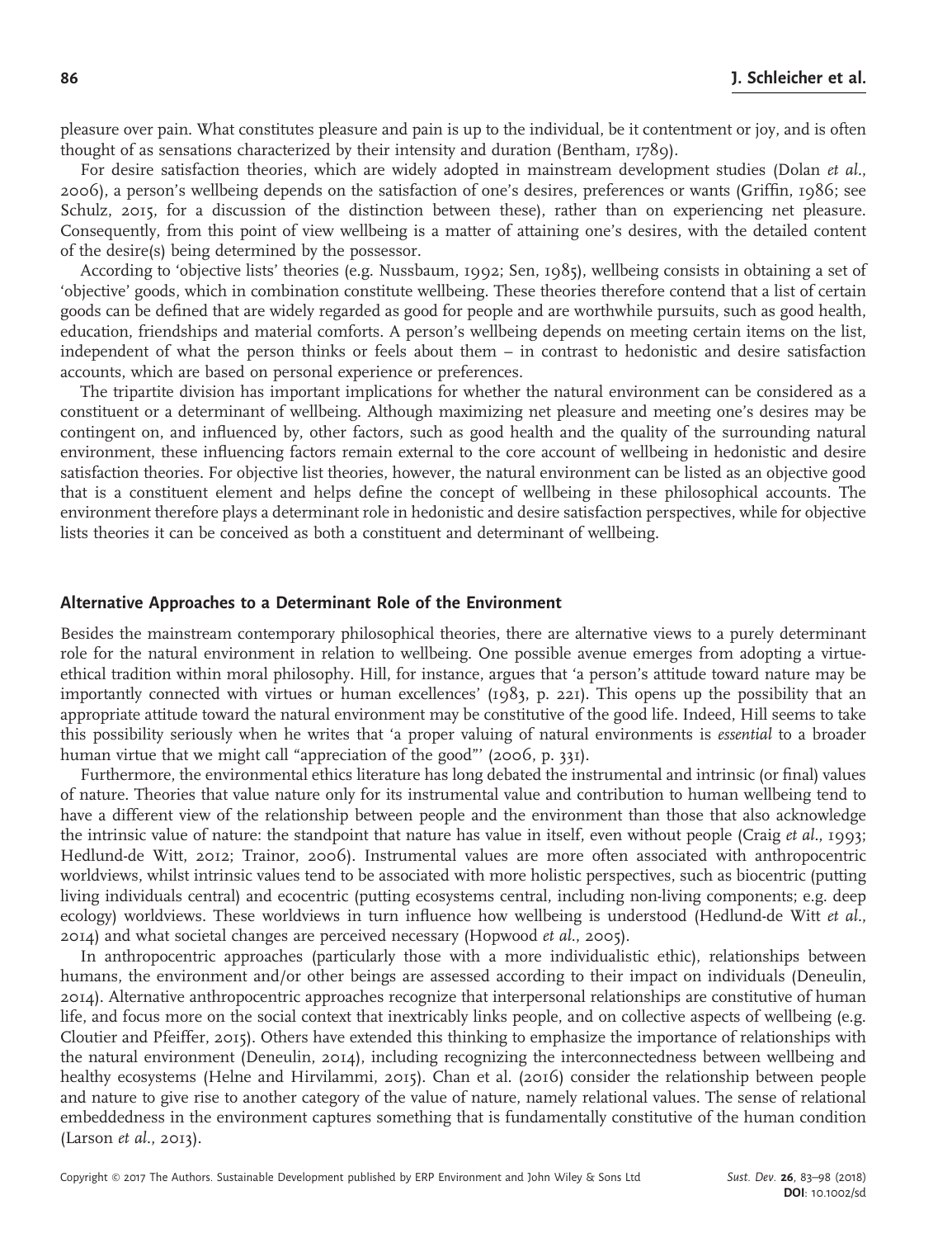pleasure over pain. What constitutes pleasure and pain is up to the individual, be it contentment or joy, and is often thought of as sensations characterized by their intensity and duration (Bentham, 1789).

For desire satisfaction theories, which are widely adopted in mainstream development studies (Dolan et al., 2006), a person's wellbeing depends on the satisfaction of one's desires, preferences or wants (Griffin, 1986; see Schulz, 2015, for a discussion of the distinction between these), rather than on experiencing net pleasure. Consequently, from this point of view wellbeing is a matter of attaining one's desires, with the detailed content of the desire(s) being determined by the possessor.

According to 'objective lists' theories (e.g. Nussbaum, 1992; Sen, 1985), wellbeing consists in obtaining a set of 'objective' goods, which in combination constitute wellbeing. These theories therefore contend that a list of certain goods can be defined that are widely regarded as good for people and are worthwhile pursuits, such as good health, education, friendships and material comforts. A person's wellbeing depends on meeting certain items on the list, independent of what the person thinks or feels about them – in contrast to hedonistic and desire satisfaction accounts, which are based on personal experience or preferences.

The tripartite division has important implications for whether the natural environment can be considered as a constituent or a determinant of wellbeing. Although maximizing net pleasure and meeting one's desires may be contingent on, and influenced by, other factors, such as good health and the quality of the surrounding natural environment, these influencing factors remain external to the core account of wellbeing in hedonistic and desire satisfaction theories. For objective list theories, however, the natural environment can be listed as an objective good that is a constituent element and helps define the concept of wellbeing in these philosophical accounts. The environment therefore plays a determinant role in hedonistic and desire satisfaction perspectives, while for objective lists theories it can be conceived as both a constituent and determinant of wellbeing.

#### Alternative Approaches to a Determinant Role of the Environment

Besides the mainstream contemporary philosophical theories, there are alternative views to a purely determinant role for the natural environment in relation to wellbeing. One possible avenue emerges from adopting a virtueethical tradition within moral philosophy. Hill, for instance, argues that 'a person's attitude toward nature may be importantly connected with virtues or human excellences' (1983, p. 221). This opens up the possibility that an appropriate attitude toward the natural environment may be constitutive of the good life. Indeed, Hill seems to take this possibility seriously when he writes that 'a proper valuing of natural environments is essential to a broader human virtue that we might call "appreciation of the good"' (2006, p. 331).

Furthermore, the environmental ethics literature has long debated the instrumental and intrinsic (or final) values of nature. Theories that value nature only for its instrumental value and contribution to human wellbeing tend to have a different view of the relationship between people and the environment than those that also acknowledge the intrinsic value of nature: the standpoint that nature has value in itself, even without people (Craig et al., 1993; Hedlund-de Witt, 2012; Trainor, 2006). Instrumental values are more often associated with anthropocentric worldviews, whilst intrinsic values tend to be associated with more holistic perspectives, such as biocentric (putting living individuals central) and ecocentric (putting ecosystems central, including non-living components; e.g. deep ecology) worldviews. These worldviews in turn influence how wellbeing is understood (Hedlund-de Witt et al., 2014) and what societal changes are perceived necessary (Hopwood et al., 2005).

In anthropocentric approaches (particularly those with a more individualistic ethic), relationships between humans, the environment and/or other beings are assessed according to their impact on individuals (Deneulin, 2014). Alternative anthropocentric approaches recognize that interpersonal relationships are constitutive of human life, and focus more on the social context that inextricably links people, and on collective aspects of wellbeing (e.g. Cloutier and Pfeiffer, 2015). Others have extended this thinking to emphasize the importance of relationships with the natural environment (Deneulin, 2014), including recognizing the interconnectedness between wellbeing and healthy ecosystems (Helne and Hirvilammi, 2015). Chan et al. (2016) consider the relationship between people and nature to give rise to another category of the value of nature, namely relational values. The sense of relational embeddedness in the environment captures something that is fundamentally constitutive of the human condition (Larson et al., 2013).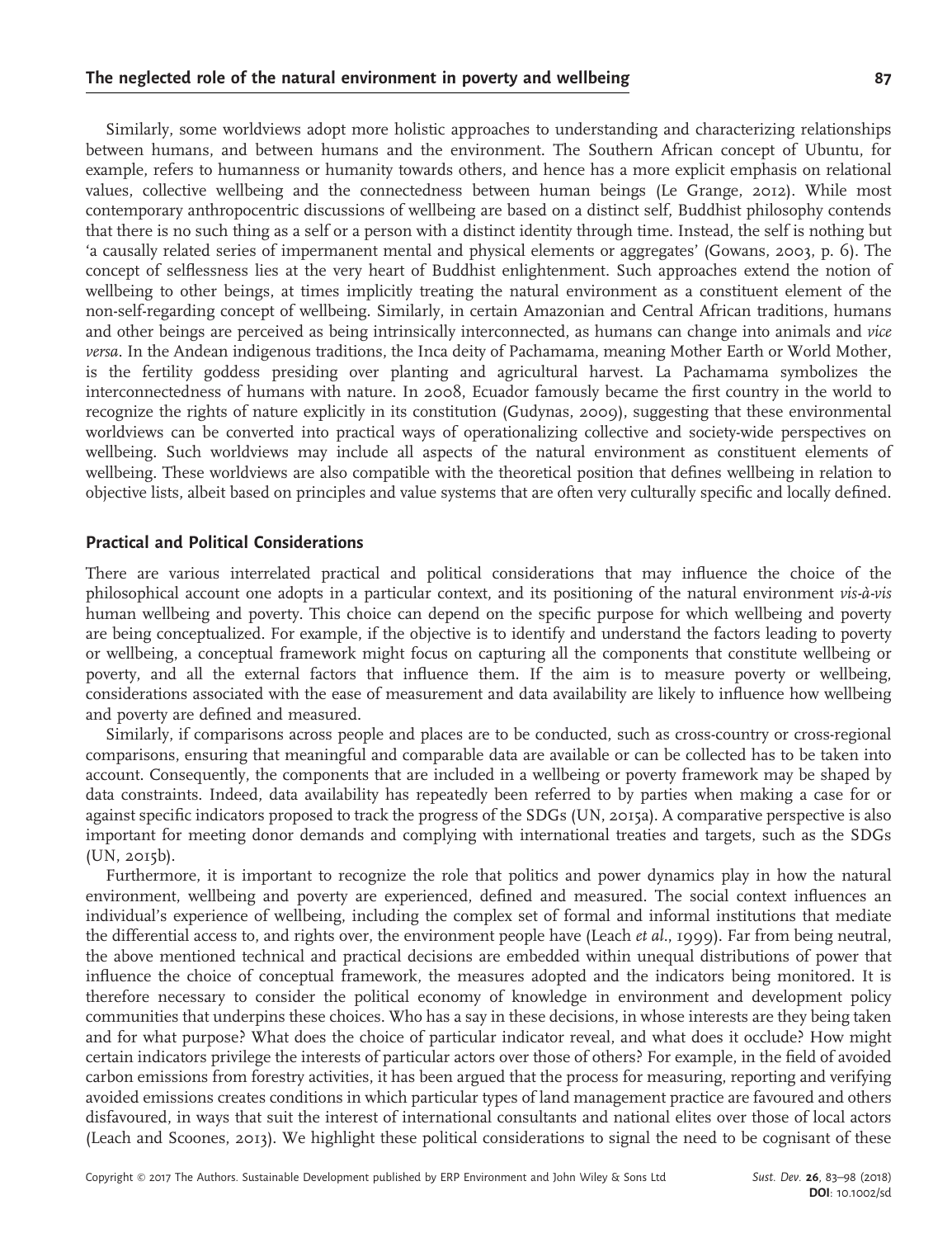#### The neglected role of the natural environment in poverty and wellbeing and states of the state of  $\frac{87}{100}$

Similarly, some worldviews adopt more holistic approaches to understanding and characterizing relationships between humans, and between humans and the environment. The Southern African concept of Ubuntu, for example, refers to humanness or humanity towards others, and hence has a more explicit emphasis on relational values, collective wellbeing and the connectedness between human beings (Le Grange, 2012). While most contemporary anthropocentric discussions of wellbeing are based on a distinct self, Buddhist philosophy contends that there is no such thing as a self or a person with a distinct identity through time. Instead, the self is nothing but 'a causally related series of impermanent mental and physical elements or aggregates' (Gowans, 2003, p. 6). The concept of selflessness lies at the very heart of Buddhist enlightenment. Such approaches extend the notion of wellbeing to other beings, at times implicitly treating the natural environment as a constituent element of the non-self-regarding concept of wellbeing. Similarly, in certain Amazonian and Central African traditions, humans and other beings are perceived as being intrinsically interconnected, as humans can change into animals and vice versa. In the Andean indigenous traditions, the Inca deity of Pachamama, meaning Mother Earth or World Mother, is the fertility goddess presiding over planting and agricultural harvest. La Pachamama symbolizes the interconnectedness of humans with nature. In 2008, Ecuador famously became the first country in the world to recognize the rights of nature explicitly in its constitution (Gudynas, 2009), suggesting that these environmental worldviews can be converted into practical ways of operationalizing collective and society-wide perspectives on wellbeing. Such worldviews may include all aspects of the natural environment as constituent elements of wellbeing. These worldviews are also compatible with the theoretical position that defines wellbeing in relation to objective lists, albeit based on principles and value systems that are often very culturally specific and locally defined.

#### Practical and Political Considerations

There are various interrelated practical and political considerations that may influence the choice of the philosophical account one adopts in a particular context, and its positioning of the natural environment vis-à-vis human wellbeing and poverty. This choice can depend on the specific purpose for which wellbeing and poverty are being conceptualized. For example, if the objective is to identify and understand the factors leading to poverty or wellbeing, a conceptual framework might focus on capturing all the components that constitute wellbeing or poverty, and all the external factors that influence them. If the aim is to measure poverty or wellbeing, considerations associated with the ease of measurement and data availability are likely to influence how wellbeing and poverty are defined and measured.

Similarly, if comparisons across people and places are to be conducted, such as cross-country or cross-regional comparisons, ensuring that meaningful and comparable data are available or can be collected has to be taken into account. Consequently, the components that are included in a wellbeing or poverty framework may be shaped by data constraints. Indeed, data availability has repeatedly been referred to by parties when making a case for or against specific indicators proposed to track the progress of the SDGs (UN, 2015a). A comparative perspective is also important for meeting donor demands and complying with international treaties and targets, such as the SDGs (UN, 2015b).

Furthermore, it is important to recognize the role that politics and power dynamics play in how the natural environment, wellbeing and poverty are experienced, defined and measured. The social context influences an individual's experience of wellbeing, including the complex set of formal and informal institutions that mediate the differential access to, and rights over, the environment people have (Leach *et al.*, 1999). Far from being neutral, the above mentioned technical and practical decisions are embedded within unequal distributions of power that influence the choice of conceptual framework, the measures adopted and the indicators being monitored. It is therefore necessary to consider the political economy of knowledge in environment and development policy communities that underpins these choices. Who has a say in these decisions, in whose interests are they being taken and for what purpose? What does the choice of particular indicator reveal, and what does it occlude? How might certain indicators privilege the interests of particular actors over those of others? For example, in the field of avoided carbon emissions from forestry activities, it has been argued that the process for measuring, reporting and verifying avoided emissions creates conditions in which particular types of land management practice are favoured and others disfavoured, in ways that suit the interest of international consultants and national elites over those of local actors (Leach and Scoones, 2013). We highlight these political considerations to signal the need to be cognisant of these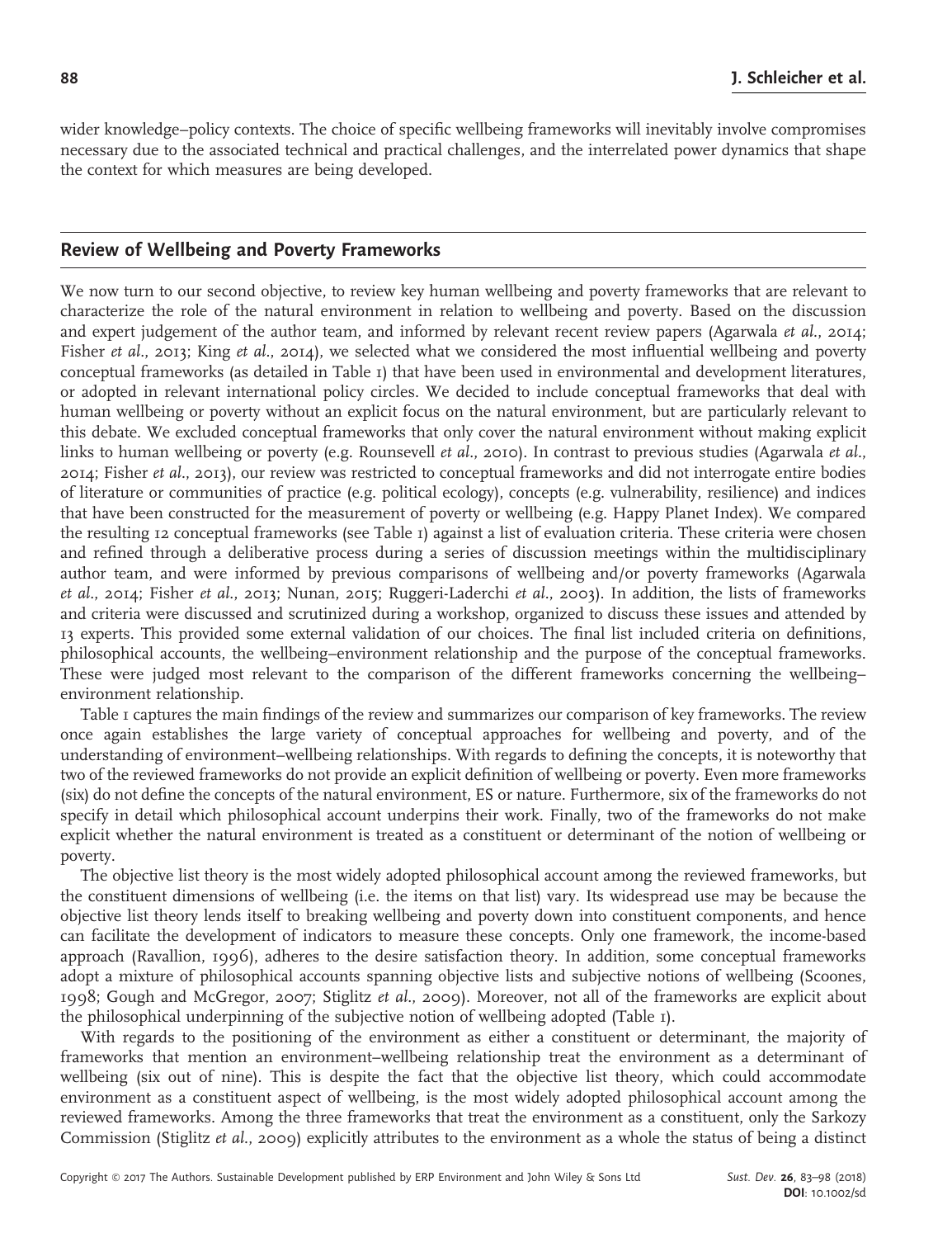wider knowledge–policy contexts. The choice of specific wellbeing frameworks will inevitably involve compromises necessary due to the associated technical and practical challenges, and the interrelated power dynamics that shape the context for which measures are being developed.

#### Review of Wellbeing and Poverty Frameworks

We now turn to our second objective, to review key human wellbeing and poverty frameworks that are relevant to characterize the role of the natural environment in relation to wellbeing and poverty. Based on the discussion and expert judgement of the author team, and informed by relevant recent review papers (Agarwala et al., 2014; Fisher et al., 2013; King et al., 2014), we selected what we considered the most influential wellbeing and poverty conceptual frameworks (as detailed in Table 1) that have been used in environmental and development literatures, or adopted in relevant international policy circles. We decided to include conceptual frameworks that deal with human wellbeing or poverty without an explicit focus on the natural environment, but are particularly relevant to this debate. We excluded conceptual frameworks that only cover the natural environment without making explicit links to human wellbeing or poverty (e.g. Rounsevell et al., 2010). In contrast to previous studies (Agarwala et al., 2014; Fisher et al., 2013), our review was restricted to conceptual frameworks and did not interrogate entire bodies of literature or communities of practice (e.g. political ecology), concepts (e.g. vulnerability, resilience) and indices that have been constructed for the measurement of poverty or wellbeing (e.g. Happy Planet Index). We compared the resulting 12 conceptual frameworks (see Table 1) against a list of evaluation criteria. These criteria were chosen and refined through a deliberative process during a series of discussion meetings within the multidisciplinary author team, and were informed by previous comparisons of wellbeing and/or poverty frameworks (Agarwala et al., 2014; Fisher et al., 2013; Nunan, 2015; Ruggeri-Laderchi et al., 2003). In addition, the lists of frameworks and criteria were discussed and scrutinized during a workshop, organized to discuss these issues and attended by 13 experts. This provided some external validation of our choices. The final list included criteria on definitions, philosophical accounts, the wellbeing–environment relationship and the purpose of the conceptual frameworks. These were judged most relevant to the comparison of the different frameworks concerning the wellbeing– environment relationship.

Table 1 captures the main findings of the review and summarizes our comparison of key frameworks. The review once again establishes the large variety of conceptual approaches for wellbeing and poverty, and of the understanding of environment–wellbeing relationships. With regards to defining the concepts, it is noteworthy that two of the reviewed frameworks do not provide an explicit definition of wellbeing or poverty. Even more frameworks (six) do not define the concepts of the natural environment, ES or nature. Furthermore, six of the frameworks do not specify in detail which philosophical account underpins their work. Finally, two of the frameworks do not make explicit whether the natural environment is treated as a constituent or determinant of the notion of wellbeing or poverty.

The objective list theory is the most widely adopted philosophical account among the reviewed frameworks, but the constituent dimensions of wellbeing (i.e. the items on that list) vary. Its widespread use may be because the objective list theory lends itself to breaking wellbeing and poverty down into constituent components, and hence can facilitate the development of indicators to measure these concepts. Only one framework, the income-based approach (Ravallion, 1996), adheres to the desire satisfaction theory. In addition, some conceptual frameworks adopt a mixture of philosophical accounts spanning objective lists and subjective notions of wellbeing (Scoones, 1998; Gough and McGregor, 2007; Stiglitz et al., 2009). Moreover, not all of the frameworks are explicit about the philosophical underpinning of the subjective notion of wellbeing adopted (Table 1).

With regards to the positioning of the environment as either a constituent or determinant, the majority of frameworks that mention an environment–wellbeing relationship treat the environment as a determinant of wellbeing (six out of nine). This is despite the fact that the objective list theory, which could accommodate environment as a constituent aspect of wellbeing, is the most widely adopted philosophical account among the reviewed frameworks. Among the three frameworks that treat the environment as a constituent, only the Sarkozy Commission (Stiglitz et al., 2009) explicitly attributes to the environment as a whole the status of being a distinct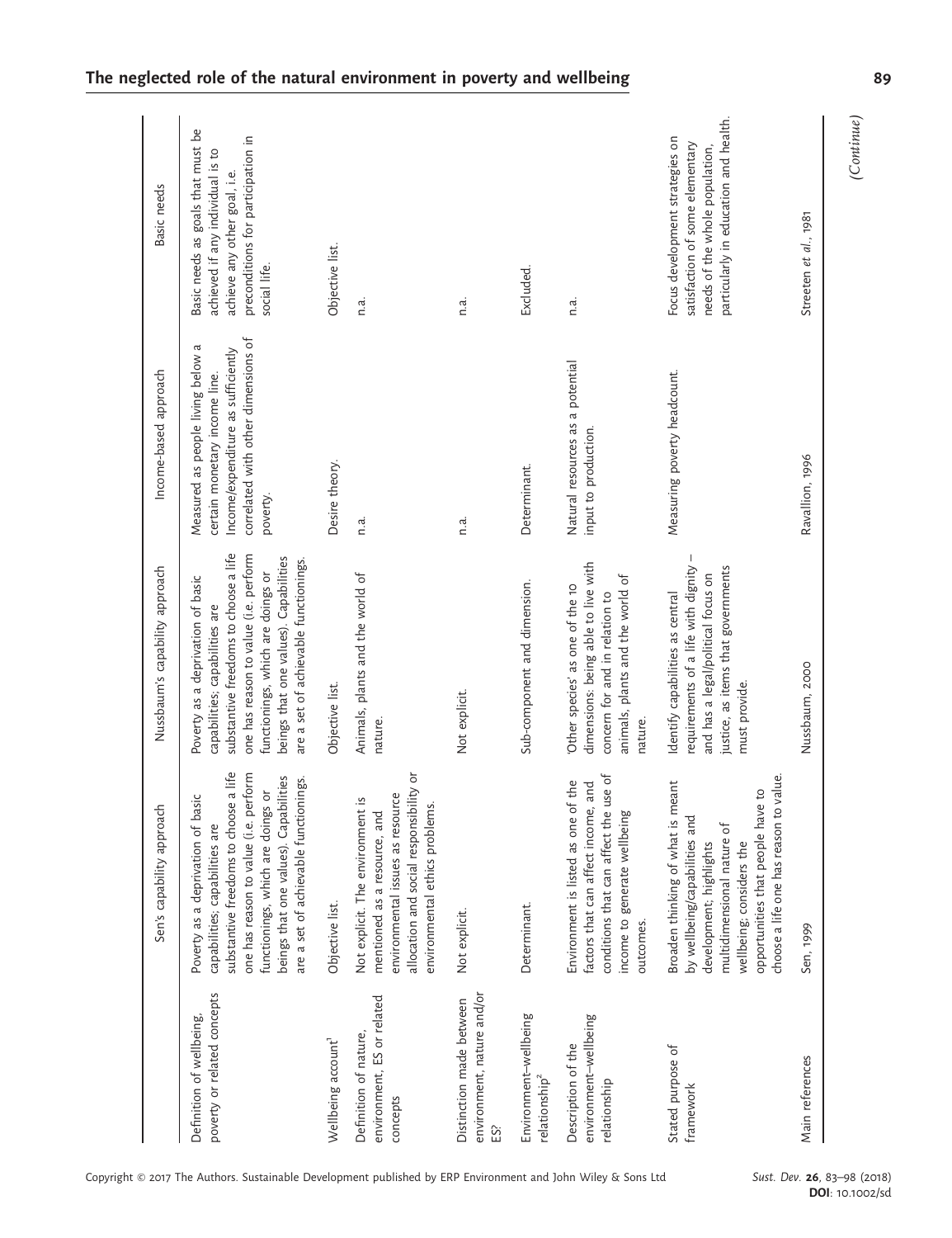|                                                                 | approach<br>Sen's capability                                                                                                                                                                                                                                                 | Nussbaum's capability approach                                                                                                                                                                                                                                               | Income-based approach                                                                                                                                                   | Basic needs                                                                                                                                                 |
|-----------------------------------------------------------------|------------------------------------------------------------------------------------------------------------------------------------------------------------------------------------------------------------------------------------------------------------------------------|------------------------------------------------------------------------------------------------------------------------------------------------------------------------------------------------------------------------------------------------------------------------------|-------------------------------------------------------------------------------------------------------------------------------------------------------------------------|-------------------------------------------------------------------------------------------------------------------------------------------------------------|
| poverty or related concepts<br>Definition of wellbeing,         | substantive freedoms to choose a life<br>one has reason to value (i.e. perform<br>beings that one values). Capabilities<br>are a set of achievable functionings.<br>functionings, which are doings or<br>Poverty as a deprivation of basic<br>capabilities; capabilities are | substantive freedoms to choose a life<br>one has reason to value (i.e. perform<br>beings that one values). Capabilities<br>are a set of achievable functionings.<br>functionings, which are doings or<br>Poverty as a deprivation of basic<br>capabilities; capabilities are | correlated with other dimensions of<br>$\epsilon$<br>Income/expenditure as sufficiently<br>Measured as people living below<br>certain monetary income line.<br>poverty. | Basic needs as goals that must be<br>preconditions for participation in<br>achieved if any individual is to<br>achieve any other goal, i.e.<br>social life. |
| Wellbeing account'                                              | Objective list.                                                                                                                                                                                                                                                              | Objective list.                                                                                                                                                                                                                                                              | Desire theory.                                                                                                                                                          | Objective list.                                                                                                                                             |
| environment, ES or related<br>Definition of nature,<br>concepts | allocation and social responsibility or<br>as resource<br>Not explicit. The environment is<br>problems.<br>mentioned as a resource, and<br>environmental issues<br>environmental ethics                                                                                      | Animals, plants and the world of<br>nature.                                                                                                                                                                                                                                  | n.a.                                                                                                                                                                    | n.a.                                                                                                                                                        |
| environment, nature and/or<br>Distinction made between<br>ΕŜ    | Not explicit.                                                                                                                                                                                                                                                                | Not explicit.                                                                                                                                                                                                                                                                | n.a.                                                                                                                                                                    | n.a.                                                                                                                                                        |
| Environment-wellbeing<br>relationship <sup>2</sup>              | Determinant.                                                                                                                                                                                                                                                                 | Sub-component and dimension.                                                                                                                                                                                                                                                 | Determinant.                                                                                                                                                            | Excluded.                                                                                                                                                   |
| environment-wellbeing<br>Description of the<br>relationship     | conditions that can affect the use of<br>as one of the<br>factors that can affect income, and<br>income to generate wellbeing<br>Environment is listed<br>outcomes.                                                                                                          | dimensions: being able to live with<br>animals, plants and the world of<br>Other species' as one of the 10<br>concern for and in relation to<br>nature.                                                                                                                      | Natural resources as a potential<br>input to production.                                                                                                                | n.a.                                                                                                                                                        |
| Stated purpose of<br>framework                                  | choose a life one has reason to value.<br>what is meant<br>opportunities that people have to<br>by wellbeing/capabilities and<br>multidimensional nature of<br>wellbeing; considers the<br>development; highlights<br>Broaden thinking of                                    | requirements of a life with dignity<br>justice, as items that governments<br>and has a legal/political focus on<br>Identify capabilities as central<br>must provide.                                                                                                         | Measuring poverty headcount.                                                                                                                                            | particularly in education and health.<br>Focus development strategies on<br>satisfaction of some elementary<br>needs of the whole population,               |
| Main references                                                 | Sen, 1999                                                                                                                                                                                                                                                                    | Nussbaum, 2000                                                                                                                                                                                                                                                               | Ravallion, 1996                                                                                                                                                         | Streeten et al., 1981                                                                                                                                       |
|                                                                 |                                                                                                                                                                                                                                                                              |                                                                                                                                                                                                                                                                              |                                                                                                                                                                         |                                                                                                                                                             |

(Continue)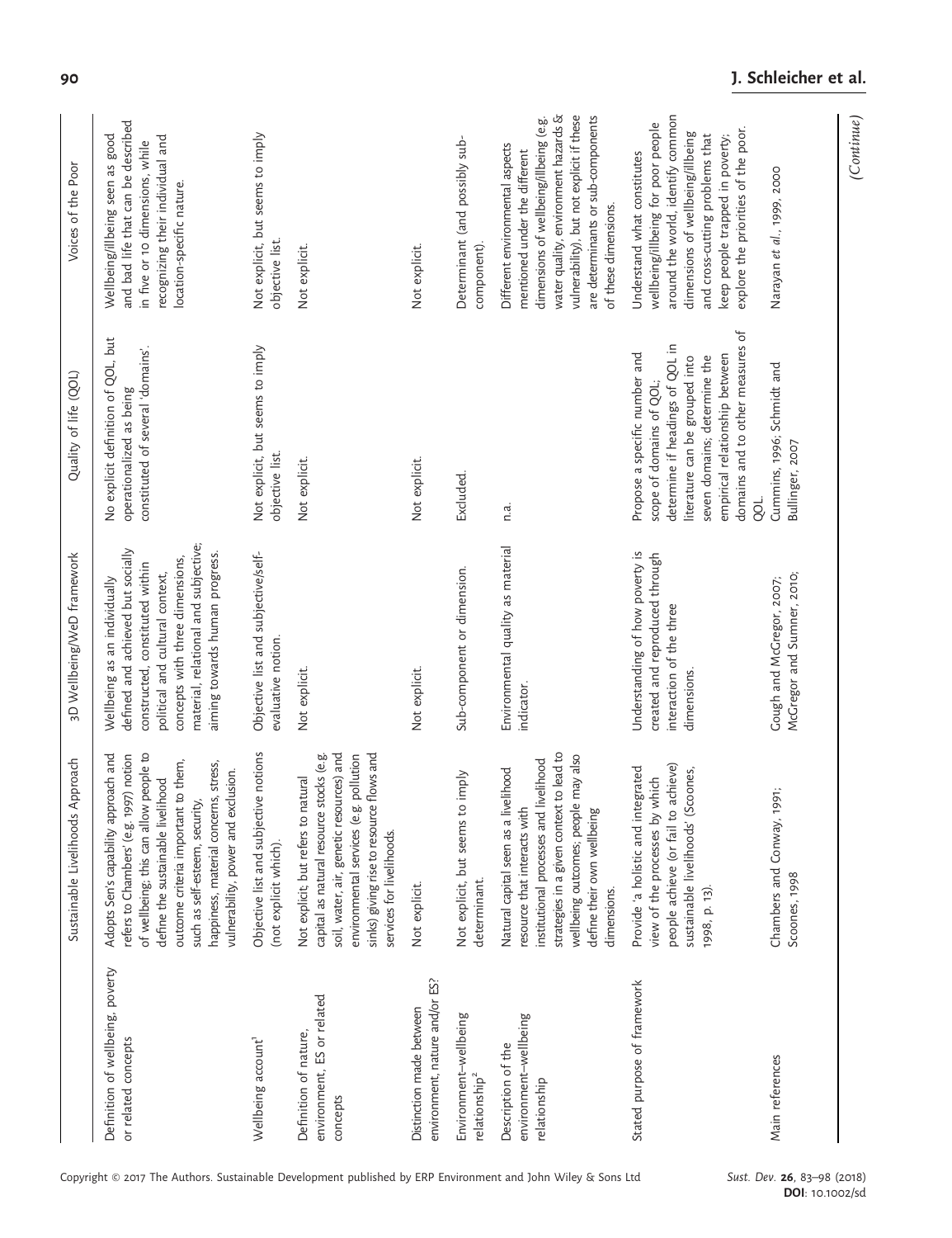|                                                                 | Sustainable Livelihoods Approach                                                                                                                                                                                                                                                                                       | 3D Wellbeing/WeD framework                                                                                                                                                                                                                           | Quality of life (QOL)                                                                                                                                                                                                                         | Voices of the Poor                                                                                                                                                                                                                                            |
|-----------------------------------------------------------------|------------------------------------------------------------------------------------------------------------------------------------------------------------------------------------------------------------------------------------------------------------------------------------------------------------------------|------------------------------------------------------------------------------------------------------------------------------------------------------------------------------------------------------------------------------------------------------|-----------------------------------------------------------------------------------------------------------------------------------------------------------------------------------------------------------------------------------------------|---------------------------------------------------------------------------------------------------------------------------------------------------------------------------------------------------------------------------------------------------------------|
| Definition of wellbeing, poverty<br>or related concepts         | of wellbeing; this can allow people to<br>Adopts Sen's capability approach and<br>refers to Chambers' (e.g. 1997) notion<br>outcome criteria important to them,<br>happiness, material concerns, stress,<br>vulnerability, power and exclusion.<br>define the sustainable livelihood<br>such as self-esteem, security, | material, relational and subjective;<br>defined and achieved but socially<br>aiming towards human progress.<br>concepts with three dimensions,<br>constructed, constituted within<br>political and cultural context,<br>Wellbeing as an individually | No explicit definition of QOL, but<br>constituted of several 'domains'.<br>operationalized as being                                                                                                                                           | and bad life that can be described<br>Wellbeing/illbeing seen as good<br>recognizing their individual and<br>in five or 10 dimensions, while<br>location-specific nature.                                                                                     |
| Wellbeing account <sup>1</sup>                                  | Objective list and subjective notions<br>(not explicit which).                                                                                                                                                                                                                                                         | Objective list and subjective/self-<br>evaluative notion.                                                                                                                                                                                            | Not explicit, but seems to imply<br>objective list.                                                                                                                                                                                           | Not explicit, but seems to imply<br>objective list.                                                                                                                                                                                                           |
| environment, ES or related<br>Definition of nature,<br>concepts | soil, water, air, genetic resources) and<br>capital as natural resource stocks (e.g.<br>sinks) giving rise to resource flows and<br>environmental services (e.g. pollution<br>Not explicit; but refers to natural<br>services for livelihoods.                                                                         | Not explicit.                                                                                                                                                                                                                                        | Not explicit.                                                                                                                                                                                                                                 | Not explicit.                                                                                                                                                                                                                                                 |
| environment, nature and/or ES?<br>Distinction made between      | Not explicit.                                                                                                                                                                                                                                                                                                          | Not explicit.                                                                                                                                                                                                                                        | Not explicit.                                                                                                                                                                                                                                 | Not explicit.                                                                                                                                                                                                                                                 |
| Environment-wellbeing<br>relationship <sup>2</sup>              | Not explicit, but seems to imply<br>determinant.                                                                                                                                                                                                                                                                       | Sub-component or dimension.                                                                                                                                                                                                                          | Excluded.                                                                                                                                                                                                                                     | Determinant (and possibly sub-<br>component)                                                                                                                                                                                                                  |
| environment-wellbeing<br>Description of the<br>relationship     | strategies in a given context to lead to<br>wellbeing outcomes; people may also<br>institutional processes and livelihood<br>Natural capital seen as a livelihood<br>resource that interacts with<br>wellbeing<br>define their own<br>dimensions.                                                                      | Environmental quality as material<br>indicator.                                                                                                                                                                                                      | n.a.                                                                                                                                                                                                                                          | water quality, environment hazards &<br>vulnerability), but not explicit if these<br>are determinants or sub-components<br>dimensions of wellbeing/illbeing (e.g.<br>Different environmental aspects<br>mentioned under the different<br>of these dimensions. |
| Stated purpose of framework                                     | people achieve (or fail to achieve)<br>Provide 'a holistic and integrated<br>sustainable livelihoods' (Scoones,<br>view of the processes by which<br>1998, p. 13).                                                                                                                                                     | Understanding of how poverty is<br>created and reproduced through<br>interaction of the three<br>dimensions.                                                                                                                                         | domains and to other measures of<br>determine if headings of QOL in<br>Propose a specific number and<br>empirical relationship between<br>seven domains; determine the<br>iterature can be grouped into<br>scope of domains of QOL;<br>a<br>O | around the world, identify common<br>wellbeing/illbeing for poor people<br>explore the priorities of the poor.<br>dimensions of wellbeing/illbeing<br>and cross-cutting problems that<br>keep people trapped in poverty;<br>Understand what constitutes       |
| Main references                                                 | Conway, 1991;<br>Chambers and<br>Scoones, 1998                                                                                                                                                                                                                                                                         | McGregor and Sumner, 2010;<br>Gough and McGregor, 2007;                                                                                                                                                                                              | Cummins, 1996; Schmidt and<br>Bullinger, 2007                                                                                                                                                                                                 | Narayan et al., 1999, 2000                                                                                                                                                                                                                                    |

(Continue)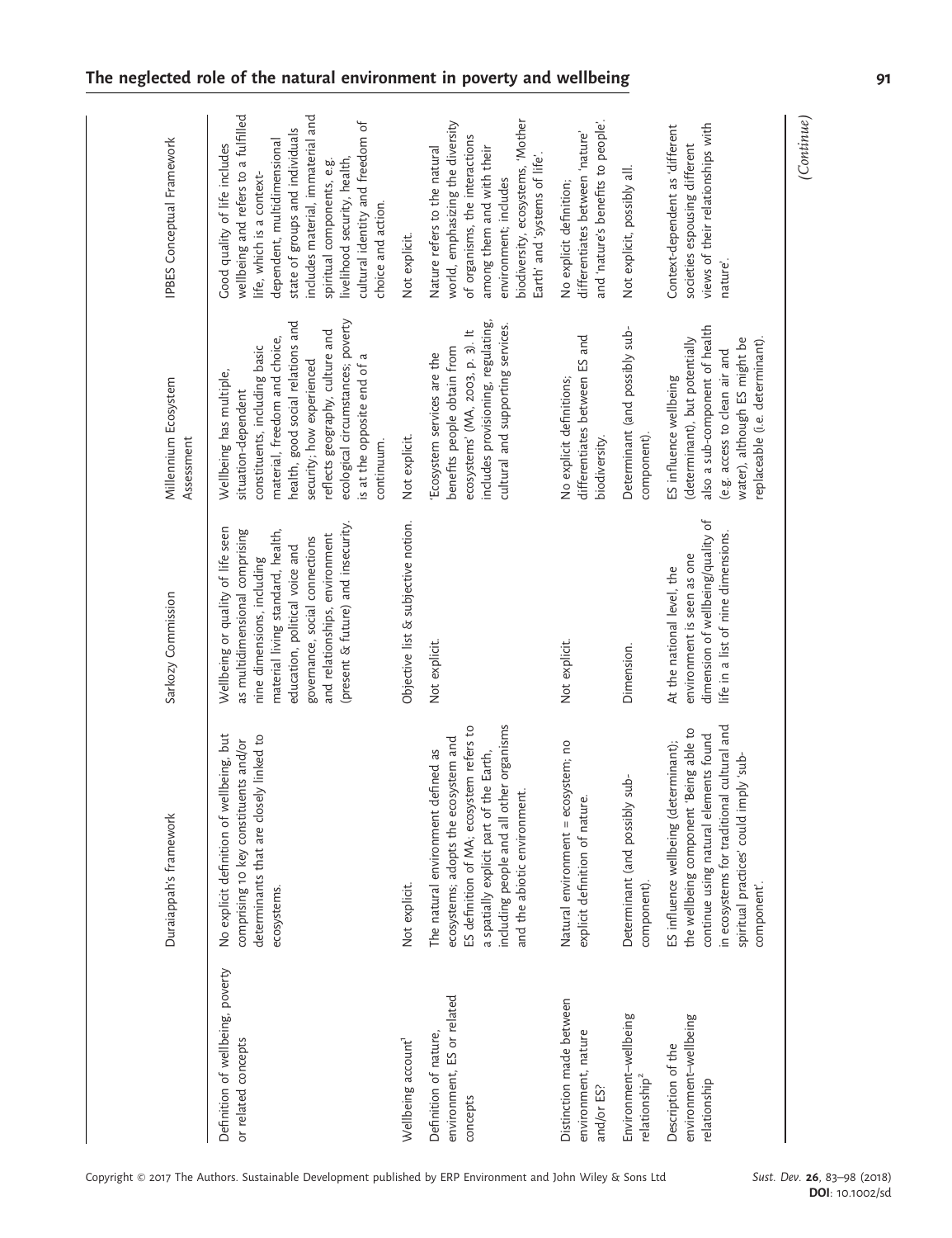|                                                                 | Duraiappah's framework                                                                                                                                                                                                                        | Sarkozy Commission                                                                                                                                                                                                                                                                 | Millennium Ecosystem<br>Assessment                                                                                                                                                                                                                                                                    | IPBES Conceptual Framework                                                                                                                                                                                                                                                                                                       |
|-----------------------------------------------------------------|-----------------------------------------------------------------------------------------------------------------------------------------------------------------------------------------------------------------------------------------------|------------------------------------------------------------------------------------------------------------------------------------------------------------------------------------------------------------------------------------------------------------------------------------|-------------------------------------------------------------------------------------------------------------------------------------------------------------------------------------------------------------------------------------------------------------------------------------------------------|----------------------------------------------------------------------------------------------------------------------------------------------------------------------------------------------------------------------------------------------------------------------------------------------------------------------------------|
| Definition of wellbeing, poverty<br>or related concepts         | No explicit definition of wellbeing, but<br>determinants that are closely linked to<br>comprising 10 key constituents and/or<br>ecosystems.                                                                                                   | (present & future) and insecurity.<br>Wellbeing or quality of life seen<br>as multidimensional comprising<br>material living standard, health,<br>and relationships, environment<br>governance, social connections<br>education, political voice and<br>nine dimensions, including | ecological circumstances; poverty<br>health, good social relations and<br>reflects geography, culture and<br>material, freedom and choice,<br>constituents, including basic<br>security; how experienced<br>is at the opposite end of<br>Wellbeing has multiple,<br>situation-dependent<br>continuum. | wellbeing and refers to a fulfilled<br>includes material, immaterial and<br>cultural identity and freedom of<br>state of groups and individuals<br>dependent, multidimensional<br>Good quality of life includes<br>livelihood security, health,<br>spiritual components, e.g.<br>life, which is a context-<br>choice and action. |
| Wellbeing account <sup>1</sup>                                  | Not explicit.                                                                                                                                                                                                                                 | Objective list & subjective notion.                                                                                                                                                                                                                                                | Not explicit.                                                                                                                                                                                                                                                                                         | Not explicit.                                                                                                                                                                                                                                                                                                                    |
| environment, ES or related<br>Definition of nature,<br>concepts | including people and all other organisms<br>ES definition of MA; ecosystem refers to<br>ecosystems; adopts the ecosystem and<br>The natural environment defined as<br>a spatially explicit part of the Earth,<br>and the abiotic environment. | Not explicit.                                                                                                                                                                                                                                                                      | includes provisioning, regulating,<br>cultural and supporting services.<br>ecosystems' (MA, 2003, p. 3). It<br>benefits people obtain from<br>Ecosystem services are the                                                                                                                              | biodiversity, ecosystems, 'Mother<br>world, emphasizing the diversity<br>of organisms, the interactions<br>Nature refers to the natural<br>among them and with their<br>Earth' and 'systems of life'<br>environment; includes                                                                                                    |
| Distinction made between<br>environment, nature<br>and/or ES?   | Natural environment = ecosystem; no<br>explicit definition of nature.                                                                                                                                                                         | Not explicit.                                                                                                                                                                                                                                                                      | differentiates between ES and<br>No explicit definitions;<br>biodiversity                                                                                                                                                                                                                             | and 'nature's benefits to people'.<br>differentiates between 'nature'<br>No explicit definition;                                                                                                                                                                                                                                 |
| Environment-wellbeing<br>relationship <sup>2</sup>              | and possibly sub-<br>Determinant (ar<br>component).                                                                                                                                                                                           | Dimension.                                                                                                                                                                                                                                                                         | Determinant (and possibly sub-<br>component).                                                                                                                                                                                                                                                         | Not explicit, possibly all                                                                                                                                                                                                                                                                                                       |
| environment-wellbeing<br>Description of the<br>relationship     | in ecosystems for traditional cultural and<br>the wellbeing component 'Being able to<br>natural elements found<br>ES influence wellbeing (determinant);<br>spiritual practices' could imply 'sub-<br>continue using<br>component'.            | dimension of wellbeing/quality of<br>life in a list of nine dimensions.<br>environment is seen as one<br>At the national level, the                                                                                                                                                | also a sub-component of health<br>(determinant), but potentially<br>water), although ES might be<br>replaceable (i.e. determinant).<br>(e.g. access to clean air and<br>ES influence wellbeing                                                                                                        | views of their relationships with<br>Context-dependent as 'different<br>societies espousing different<br>nature'.                                                                                                                                                                                                                |
|                                                                 |                                                                                                                                                                                                                                               |                                                                                                                                                                                                                                                                                    |                                                                                                                                                                                                                                                                                                       |                                                                                                                                                                                                                                                                                                                                  |

## The neglected role of the natural environment in poverty and wellbeing **Fig. 10.13 and 12.14 and 13.14 and 13.14** 91

(Continue)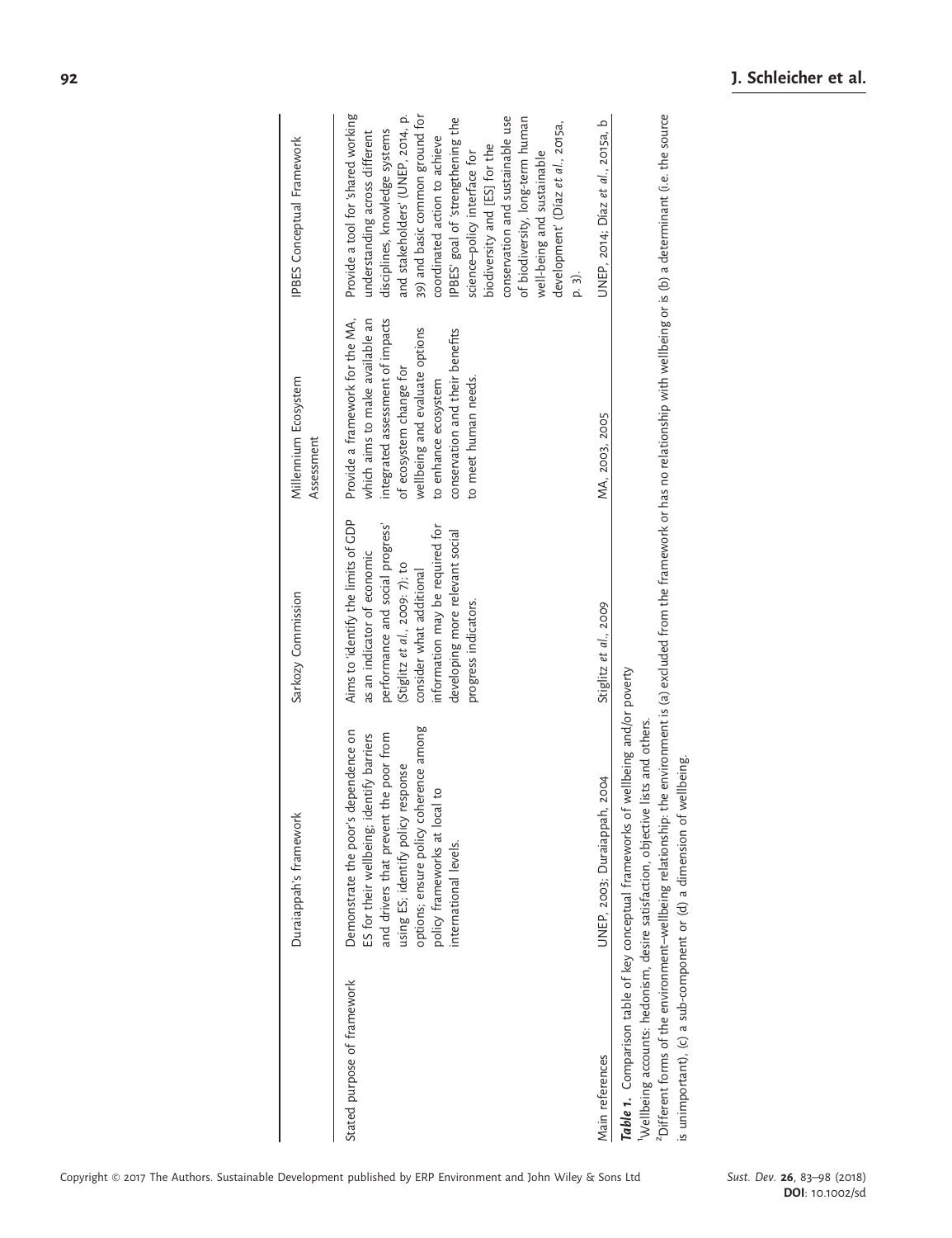|                             | Duraiappah's framework                                                                                                                                                                                                                                                                                                                                                | Sarkozy Commission                                                                                                                                                                                                                                                 | Millennium Ecosystem<br>Assessment                                                                                                                                                                                                                     | IPBES Conceptual Framework                                                                                                                                                                                                                                                                                                                                                                                                                                                 |
|-----------------------------|-----------------------------------------------------------------------------------------------------------------------------------------------------------------------------------------------------------------------------------------------------------------------------------------------------------------------------------------------------------------------|--------------------------------------------------------------------------------------------------------------------------------------------------------------------------------------------------------------------------------------------------------------------|--------------------------------------------------------------------------------------------------------------------------------------------------------------------------------------------------------------------------------------------------------|----------------------------------------------------------------------------------------------------------------------------------------------------------------------------------------------------------------------------------------------------------------------------------------------------------------------------------------------------------------------------------------------------------------------------------------------------------------------------|
| Stated purpose of framework | options; ensure policy coherence among<br>Demonstrate the poor's dependence on<br>and drivers that prevent the poor from<br>ES for their wellbeing; identify barriers<br>using ES; identify policy response<br>policy frameworks at local to<br>international levels.                                                                                                 | Aims to 'identify the limits of GDP<br>performance and social progress'<br>information may be required for<br>developing more relevant social<br>as an indicator of economic<br>(Stiglitz et al., 2009: 7); to<br>consider what additional<br>progress indicators. | integrated assessment of impacts<br>Provide a framework for the MA,<br>which aims to make available an<br>wellbeing and evaluate options<br>conservation and their benefits<br>of ecosystem change for<br>to meet human needs.<br>to enhance ecosystem | Provide a tool for 'shared working<br>39) and basic common ground for<br>and stakeholders' (UNEP, 2014, p.<br>conservation and sustainable use<br>of biodiversity, long-term human<br>IPBES' goal of 'strengthening the<br>development' (Díaz et al., 2015a,<br>disciplines, knowledge systems<br>understanding across different<br>coordinated action to achieve<br>biodiversity and [ES] for the<br>science-policy interface for<br>well-being and sustainable<br>p. 3). |
| Main references             | UNEP, 2003; Duraiappah, 2004                                                                                                                                                                                                                                                                                                                                          | Stiglitz et al., 2009                                                                                                                                                                                                                                              | MA, 2003, 2005                                                                                                                                                                                                                                         | UNEP, 2014; Díaz et al., 2015a, b                                                                                                                                                                                                                                                                                                                                                                                                                                          |
|                             | "Different forms of the environment-wellbeing relationship: the environment is (a) excluded from the framework or has no relationship with wellbeing or is (b) a determinant (i.e. the source<br>Table 1. Comparison table of key conceptual frameworks of wellbeing and/or poverty<br>Wellbeing accounts: hedonism, desire satisfaction, objective lists and others. |                                                                                                                                                                                                                                                                    |                                                                                                                                                                                                                                                        |                                                                                                                                                                                                                                                                                                                                                                                                                                                                            |

۵ Ļ.  $\frac{1}{9}$ יינו באיינו ביותר ביותר של איינו ביותר ביותר של היינו ביותר ביותר ביותר ביותר ביותר ביותר ביותר ביותר ביותר ב<br>Sumimportant), (כ) a sub-component or (d) a dimension of wellbeing. is unimportant), (c) a sub-component or (d) a dimension of wellbeing.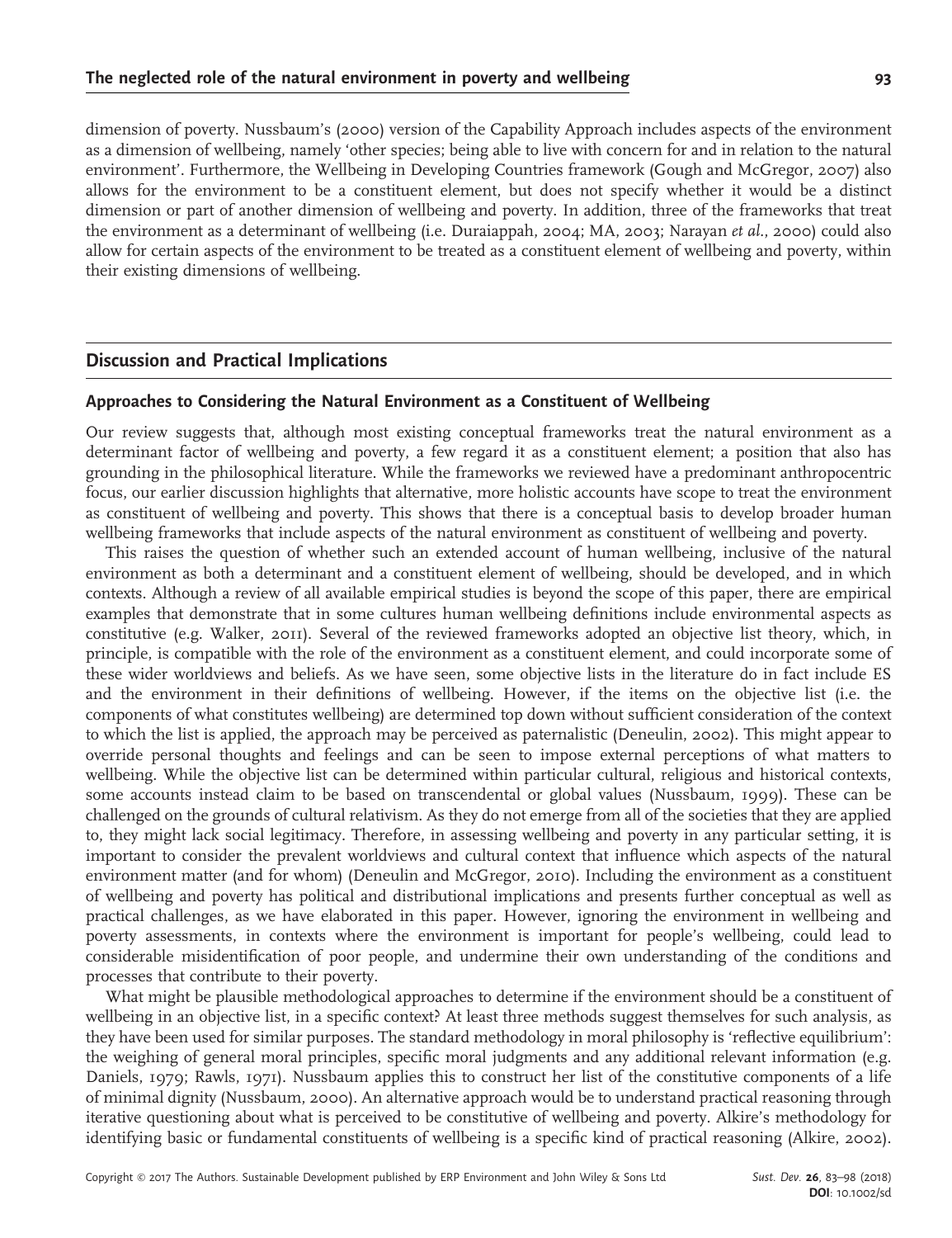#### The neglected role of the natural environment in poverty and wellbeing 93

dimension of poverty. Nussbaum's (2000) version of the Capability Approach includes aspects of the environment as a dimension of wellbeing, namely 'other species; being able to live with concern for and in relation to the natural environment'. Furthermore, the Wellbeing in Developing Countries framework (Gough and McGregor, 2007) also allows for the environment to be a constituent element, but does not specify whether it would be a distinct dimension or part of another dimension of wellbeing and poverty. In addition, three of the frameworks that treat the environment as a determinant of wellbeing (i.e. Duraiappah, 2004; MA, 2003; Narayan *et al.*, 2000) could also allow for certain aspects of the environment to be treated as a constituent element of wellbeing and poverty, within their existing dimensions of wellbeing.

#### Discussion and Practical Implications

#### Approaches to Considering the Natural Environment as a Constituent of Wellbeing

Our review suggests that, although most existing conceptual frameworks treat the natural environment as a determinant factor of wellbeing and poverty, a few regard it as a constituent element; a position that also has grounding in the philosophical literature. While the frameworks we reviewed have a predominant anthropocentric focus, our earlier discussion highlights that alternative, more holistic accounts have scope to treat the environment as constituent of wellbeing and poverty. This shows that there is a conceptual basis to develop broader human wellbeing frameworks that include aspects of the natural environment as constituent of wellbeing and poverty.

This raises the question of whether such an extended account of human wellbeing, inclusive of the natural environment as both a determinant and a constituent element of wellbeing, should be developed, and in which contexts. Although a review of all available empirical studies is beyond the scope of this paper, there are empirical examples that demonstrate that in some cultures human wellbeing definitions include environmental aspects as constitutive (e.g. Walker, 2011). Several of the reviewed frameworks adopted an objective list theory, which, in principle, is compatible with the role of the environment as a constituent element, and could incorporate some of these wider worldviews and beliefs. As we have seen, some objective lists in the literature do in fact include ES and the environment in their definitions of wellbeing. However, if the items on the objective list (i.e. the components of what constitutes wellbeing) are determined top down without sufficient consideration of the context to which the list is applied, the approach may be perceived as paternalistic (Deneulin, 2002). This might appear to override personal thoughts and feelings and can be seen to impose external perceptions of what matters to wellbeing. While the objective list can be determined within particular cultural, religious and historical contexts, some accounts instead claim to be based on transcendental or global values (Nussbaum, 1999). These can be challenged on the grounds of cultural relativism. As they do not emerge from all of the societies that they are applied to, they might lack social legitimacy. Therefore, in assessing wellbeing and poverty in any particular setting, it is important to consider the prevalent worldviews and cultural context that influence which aspects of the natural environment matter (and for whom) (Deneulin and McGregor, 2010). Including the environment as a constituent of wellbeing and poverty has political and distributional implications and presents further conceptual as well as practical challenges, as we have elaborated in this paper. However, ignoring the environment in wellbeing and poverty assessments, in contexts where the environment is important for people's wellbeing, could lead to considerable misidentification of poor people, and undermine their own understanding of the conditions and processes that contribute to their poverty.

What might be plausible methodological approaches to determine if the environment should be a constituent of wellbeing in an objective list, in a specific context? At least three methods suggest themselves for such analysis, as they have been used for similar purposes. The standard methodology in moral philosophy is 'reflective equilibrium': the weighing of general moral principles, specific moral judgments and any additional relevant information (e.g. Daniels, 1979; Rawls, 1971). Nussbaum applies this to construct her list of the constitutive components of a life of minimal dignity (Nussbaum, 2000). An alternative approach would be to understand practical reasoning through iterative questioning about what is perceived to be constitutive of wellbeing and poverty. Alkire's methodology for identifying basic or fundamental constituents of wellbeing is a specific kind of practical reasoning (Alkire, 2002).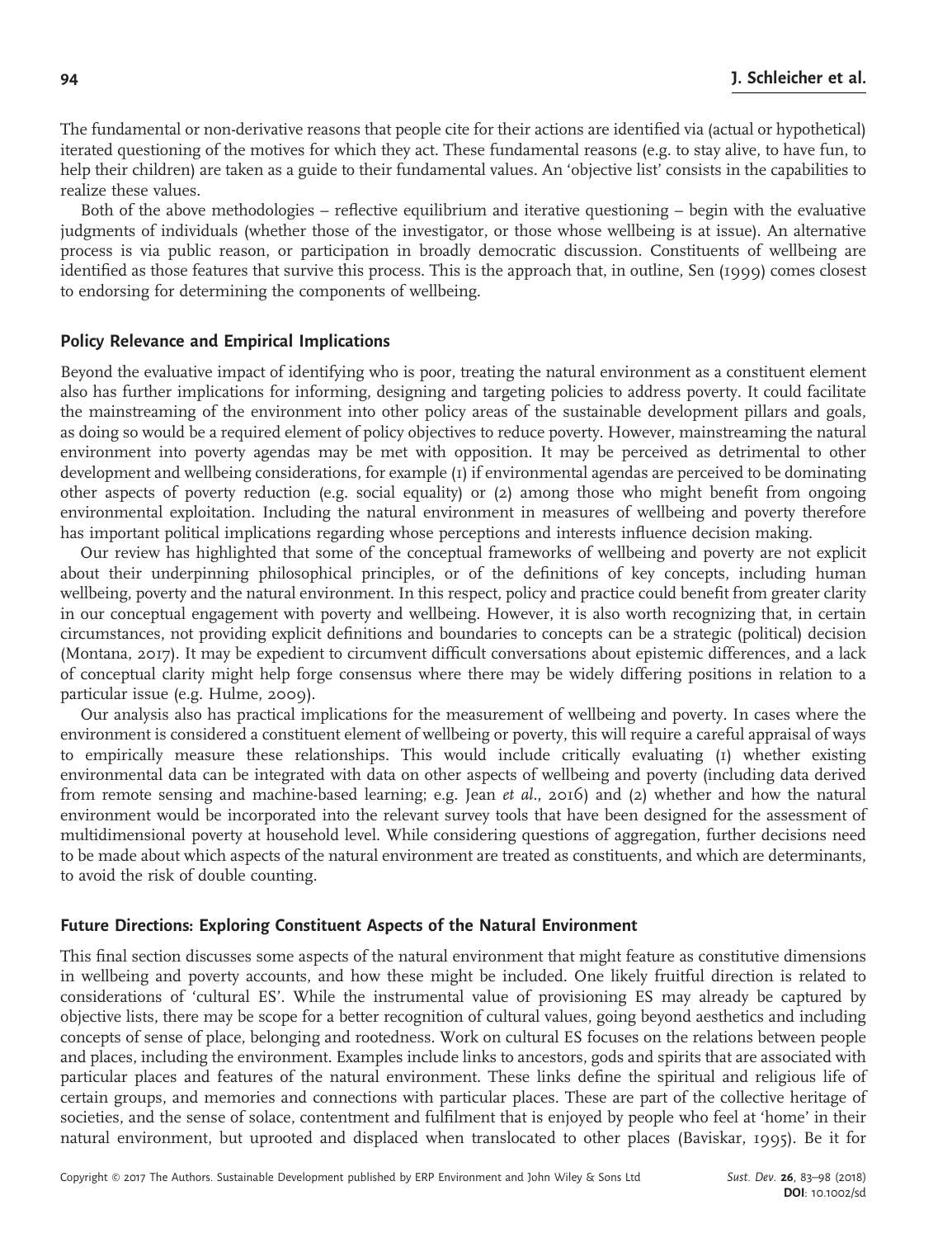The fundamental or non-derivative reasons that people cite for their actions are identified via (actual or hypothetical) iterated questioning of the motives for which they act. These fundamental reasons (e.g. to stay alive, to have fun, to help their children) are taken as a guide to their fundamental values. An 'objective list' consists in the capabilities to realize these values.

Both of the above methodologies – reflective equilibrium and iterative questioning – begin with the evaluative judgments of individuals (whether those of the investigator, or those whose wellbeing is at issue). An alternative process is via public reason, or participation in broadly democratic discussion. Constituents of wellbeing are identified as those features that survive this process. This is the approach that, in outline, Sen (1999) comes closest to endorsing for determining the components of wellbeing.

#### Policy Relevance and Empirical Implications

Beyond the evaluative impact of identifying who is poor, treating the natural environment as a constituent element also has further implications for informing, designing and targeting policies to address poverty. It could facilitate the mainstreaming of the environment into other policy areas of the sustainable development pillars and goals, as doing so would be a required element of policy objectives to reduce poverty. However, mainstreaming the natural environment into poverty agendas may be met with opposition. It may be perceived as detrimental to other development and wellbeing considerations, for example (1) if environmental agendas are perceived to be dominating other aspects of poverty reduction (e.g. social equality) or (2) among those who might benefit from ongoing environmental exploitation. Including the natural environment in measures of wellbeing and poverty therefore has important political implications regarding whose perceptions and interests influence decision making.

Our review has highlighted that some of the conceptual frameworks of wellbeing and poverty are not explicit about their underpinning philosophical principles, or of the definitions of key concepts, including human wellbeing, poverty and the natural environment. In this respect, policy and practice could benefit from greater clarity in our conceptual engagement with poverty and wellbeing. However, it is also worth recognizing that, in certain circumstances, not providing explicit definitions and boundaries to concepts can be a strategic (political) decision (Montana, 2017). It may be expedient to circumvent difficult conversations about epistemic differences, and a lack of conceptual clarity might help forge consensus where there may be widely differing positions in relation to a particular issue (e.g. Hulme, 2009).

Our analysis also has practical implications for the measurement of wellbeing and poverty. In cases where the environment is considered a constituent element of wellbeing or poverty, this will require a careful appraisal of ways to empirically measure these relationships. This would include critically evaluating (1) whether existing environmental data can be integrated with data on other aspects of wellbeing and poverty (including data derived from remote sensing and machine-based learning; e.g. Jean et al., 2016) and (2) whether and how the natural environment would be incorporated into the relevant survey tools that have been designed for the assessment of multidimensional poverty at household level. While considering questions of aggregation, further decisions need to be made about which aspects of the natural environment are treated as constituents, and which are determinants, to avoid the risk of double counting.

#### Future Directions: Exploring Constituent Aspects of the Natural Environment

This final section discusses some aspects of the natural environment that might feature as constitutive dimensions in wellbeing and poverty accounts, and how these might be included. One likely fruitful direction is related to considerations of 'cultural ES'. While the instrumental value of provisioning ES may already be captured by objective lists, there may be scope for a better recognition of cultural values, going beyond aesthetics and including concepts of sense of place, belonging and rootedness. Work on cultural ES focuses on the relations between people and places, including the environment. Examples include links to ancestors, gods and spirits that are associated with particular places and features of the natural environment. These links define the spiritual and religious life of certain groups, and memories and connections with particular places. These are part of the collective heritage of societies, and the sense of solace, contentment and fulfilment that is enjoyed by people who feel at 'home' in their natural environment, but uprooted and displaced when translocated to other places (Baviskar, 1995). Be it for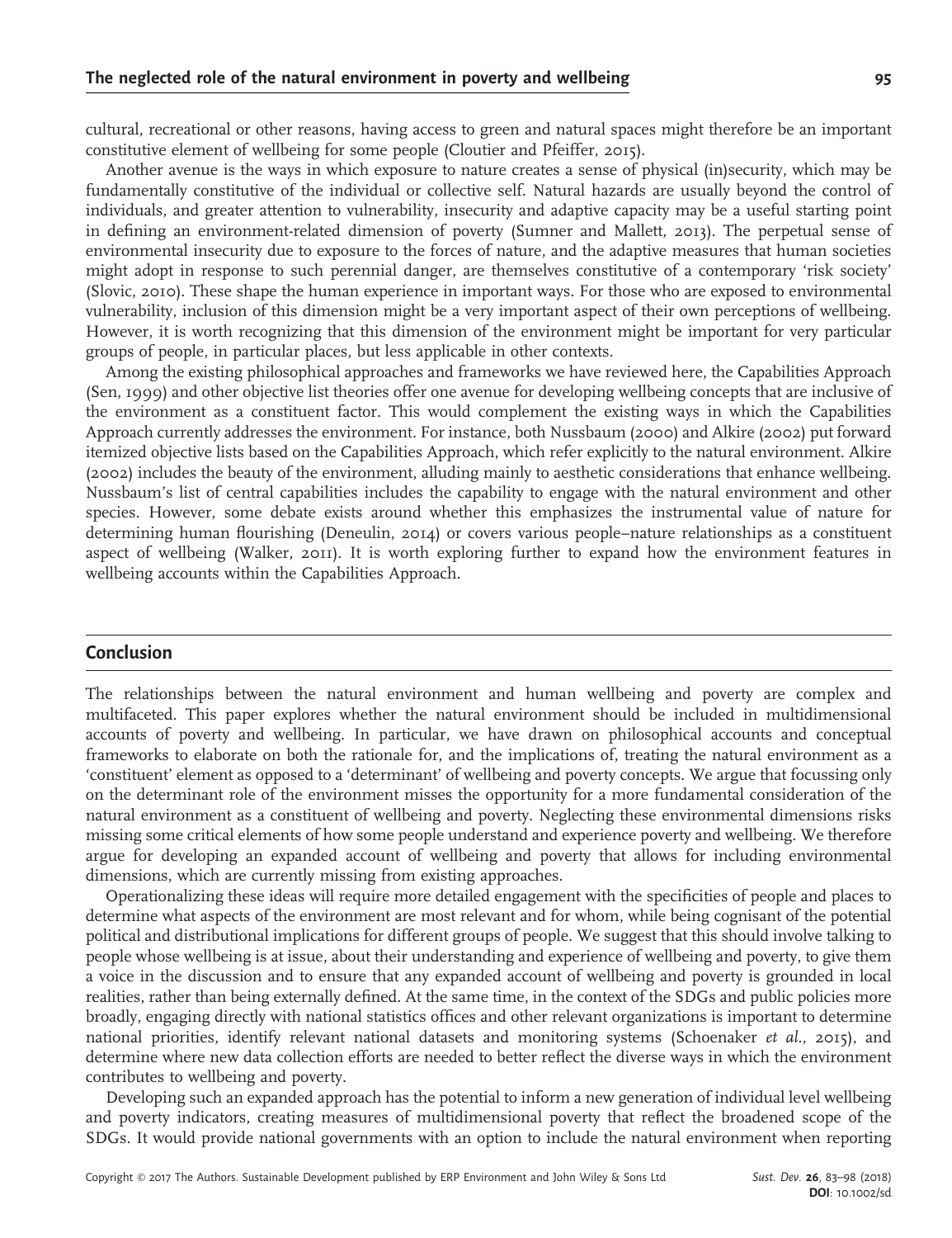cultural, recreational or other reasons, having access to green and natural spaces might therefore be an important constitutive element of wellbeing for some people (Cloutier and Pfeiffer, 2015).

Another avenue is the ways in which exposure to nature creates a sense of physical (in)security, which may be fundamentally constitutive of the individual or collective self. Natural hazards are usually beyond the control of individuals, and greater attention to vulnerability, insecurity and adaptive capacity may be a useful starting point in defining an environment-related dimension of poverty (Sumner and Mallett, 2013). The perpetual sense of environmental insecurity due to exposure to the forces of nature, and the adaptive measures that human societies might adopt in response to such perennial danger, are themselves constitutive of a contemporary 'risk society' (Slovic, 2010). These shape the human experience in important ways. For those who are exposed to environmental vulnerability, inclusion of this dimension might be a very important aspect of their own perceptions of wellbeing. However, it is worth recognizing that this dimension of the environment might be important for very particular groups of people, in particular places, but less applicable in other contexts.

Among the existing philosophical approaches and frameworks we have reviewed here, the Capabilities Approach (Sen, 1999) and other objective list theories offer one avenue for developing wellbeing concepts that are inclusive of the environment as a constituent factor. This would complement the existing ways in which the Capabilities Approach currently addresses the environment. For instance, both Nussbaum (2000) and Alkire (2002) put forward itemized objective lists based on the Capabilities Approach, which refer explicitly to the natural environment. Alkire (2002) includes the beauty of the environment, alluding mainly to aesthetic considerations that enhance wellbeing. Nussbaum's list of central capabilities includes the capability to engage with the natural environment and other species. However, some debate exists around whether this emphasizes the instrumental value of nature for determining human flourishing (Deneulin, 2014) or covers various people–nature relationships as a constituent aspect of wellbeing (Walker, 2011). It is worth exploring further to expand how the environment features in wellbeing accounts within the Capabilities Approach.

## Conclusion

The relationships between the natural environment and human wellbeing and poverty are complex and multifaceted. This paper explores whether the natural environment should be included in multidimensional accounts of poverty and wellbeing. In particular, we have drawn on philosophical accounts and conceptual frameworks to elaborate on both the rationale for, and the implications of, treating the natural environment as a 'constituent' element as opposed to a 'determinant' of wellbeing and poverty concepts. We argue that focussing only on the determinant role of the environment misses the opportunity for a more fundamental consideration of the natural environment as a constituent of wellbeing and poverty. Neglecting these environmental dimensions risks missing some critical elements of how some people understand and experience poverty and wellbeing. We therefore argue for developing an expanded account of wellbeing and poverty that allows for including environmental dimensions, which are currently missing from existing approaches.

Operationalizing these ideas will require more detailed engagement with the specificities of people and places to determine what aspects of the environment are most relevant and for whom, while being cognisant of the potential political and distributional implications for different groups of people. We suggest that this should involve talking to people whose wellbeing is at issue, about their understanding and experience of wellbeing and poverty, to give them a voice in the discussion and to ensure that any expanded account of wellbeing and poverty is grounded in local realities, rather than being externally defined. At the same time, in the context of the SDGs and public policies more broadly, engaging directly with national statistics offices and other relevant organizations is important to determine national priorities, identify relevant national datasets and monitoring systems (Schoenaker et al., 2015), and determine where new data collection efforts are needed to better reflect the diverse ways in which the environment contributes to wellbeing and poverty.

Developing such an expanded approach has the potential to inform a new generation of individual level wellbeing and poverty indicators, creating measures of multidimensional poverty that reflect the broadened scope of the SDGs. It would provide national governments with an option to include the natural environment when reporting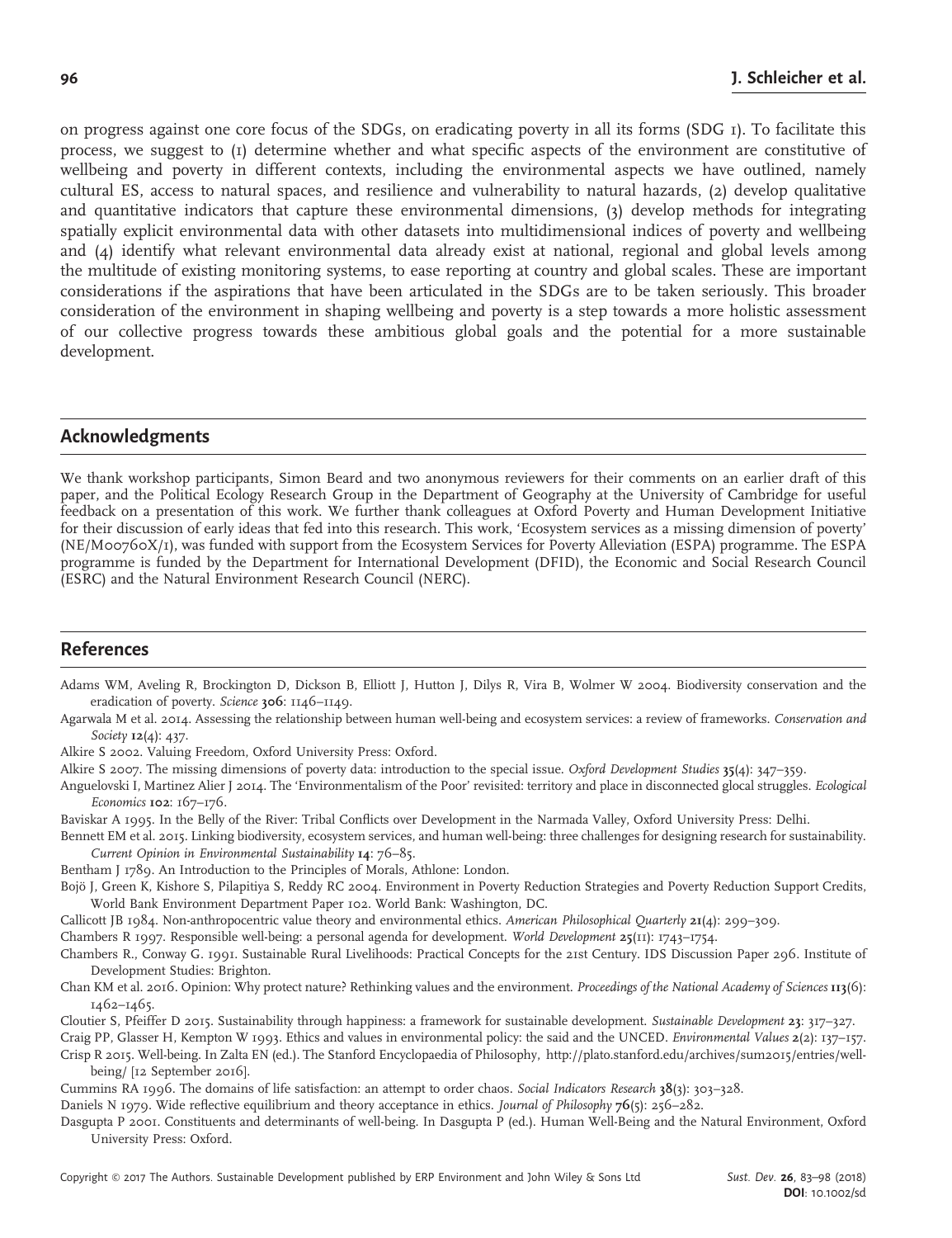on progress against one core focus of the SDGs, on eradicating poverty in all its forms (SDG 1). To facilitate this process, we suggest to (1) determine whether and what specific aspects of the environment are constitutive of wellbeing and poverty in different contexts, including the environmental aspects we have outlined, namely cultural ES, access to natural spaces, and resilience and vulnerability to natural hazards, (2) develop qualitative and quantitative indicators that capture these environmental dimensions, (3) develop methods for integrating spatially explicit environmental data with other datasets into multidimensional indices of poverty and wellbeing and (4) identify what relevant environmental data already exist at national, regional and global levels among the multitude of existing monitoring systems, to ease reporting at country and global scales. These are important considerations if the aspirations that have been articulated in the SDGs are to be taken seriously. This broader consideration of the environment in shaping wellbeing and poverty is a step towards a more holistic assessment of our collective progress towards these ambitious global goals and the potential for a more sustainable development.

#### Acknowledgments

We thank workshop participants, Simon Beard and two anonymous reviewers for their comments on an earlier draft of this paper, and the Political Ecology Research Group in the Department of Geography at the University of Cambridge for useful feedback on a presentation of this work. We further thank colleagues at Oxford Poverty and Human Development Initiative for their discussion of early ideas that fed into this research. This work, 'Ecosystem services as a missing dimension of poverty' (NE/M00760X/1), was funded with support from the Ecosystem Services for Poverty Alleviation (ESPA) programme. The ESPA programme is funded by the Department for International Development (DFID), the Economic and Social Research Council (ESRC) and the Natural Environment Research Council (NERC).

#### References

Adams WM, Aveling R, Brockington D, Dickson B, Elliott J, Hutton J, Dilys R, Vira B, Wolmer W 2004. Biodiversity conservation and the eradication of poverty. Science 306: 1146-1149.

Agarwala M et al. 2014. Assessing the relationship between human well-being and ecosystem services: a review of frameworks. Conservation and Society **12(4)**: 437.

Alkire S 2002. Valuing Freedom, Oxford University Press: Oxford.

Alkire S 2007. The missing dimensions of poverty data: introduction to the special issue. Oxford Development Studies 35(4): 347-359.

Anguelovski I, Martinez Alier J 2014. The 'Environmentalism of the Poor' revisited: territory and place in disconnected glocal struggles. Ecological Economics 102: 167–176.

Baviskar A 1995. In the Belly of the River: Tribal Conflicts over Development in the Narmada Valley, Oxford University Press: Delhi.

Bennett EM et al. 2015. Linking biodiversity, ecosystem services, and human well-being: three challenges for designing research for sustainability. Current Opinion in Environmental Sustainability 14: 76–85.

Bentham J 1789. An Introduction to the Principles of Morals, Athlone: London.

Bojö J, Green K, Kishore S, Pilapitiya S, Reddy RC 2004. Environment in Poverty Reduction Strategies and Poverty Reduction Support Credits, World Bank Environment Department Paper 102. World Bank: Washington, DC.

Callicott JB 1984. Non-anthropocentric value theory and environmental ethics. American Philosophical Quarterly 21(4): 299–309.

Chambers R 1997. Responsible well-being: a personal agenda for development. World Development 25(11): 1743–1754.

Chambers R., Conway G. 1991. Sustainable Rural Livelihoods: Practical Concepts for the 21st Century. IDS Discussion Paper 296. Institute of Development Studies: Brighton.

Chan KM et al. 2016. Opinion: Why protect nature? Rethinking values and the environment. Proceedings of the National Academy of Sciences 113(6): 1462–1465.

Cloutier S, Pfeiffer D 2015. Sustainability through happiness: a framework for sustainable development. Sustainable Development 23: 317-327.

Craig PP, Glasser H, Kempton W 1993. Ethics and values in environmental policy: the said and the UNCED. Environmental Values 2(2): 137–157.

Crisp R 2015. Well-being. In Zalta EN (ed.). The Stanford Encyclopaedia of Philosophy, [http://plato.stanford.edu/archives/sum2015/entries/well](http://plato.stanford.edu/archives/sum2015/entries/well-being)[being/](http://plato.stanford.edu/archives/sum2015/entries/well-being) [12 September 2016].

Cummins RA 1996. The domains of life satisfaction: an attempt to order chaos. Social Indicators Research 38(3): 303–328.

Daniels N 1979. Wide reflective equilibrium and theory acceptance in ethics. Journal of Philosophy 76(5): 256–282.

Dasgupta P 2001. Constituents and determinants of well-being. In Dasgupta P (ed.). Human Well-Being and the Natural Environment, Oxford University Press: Oxford.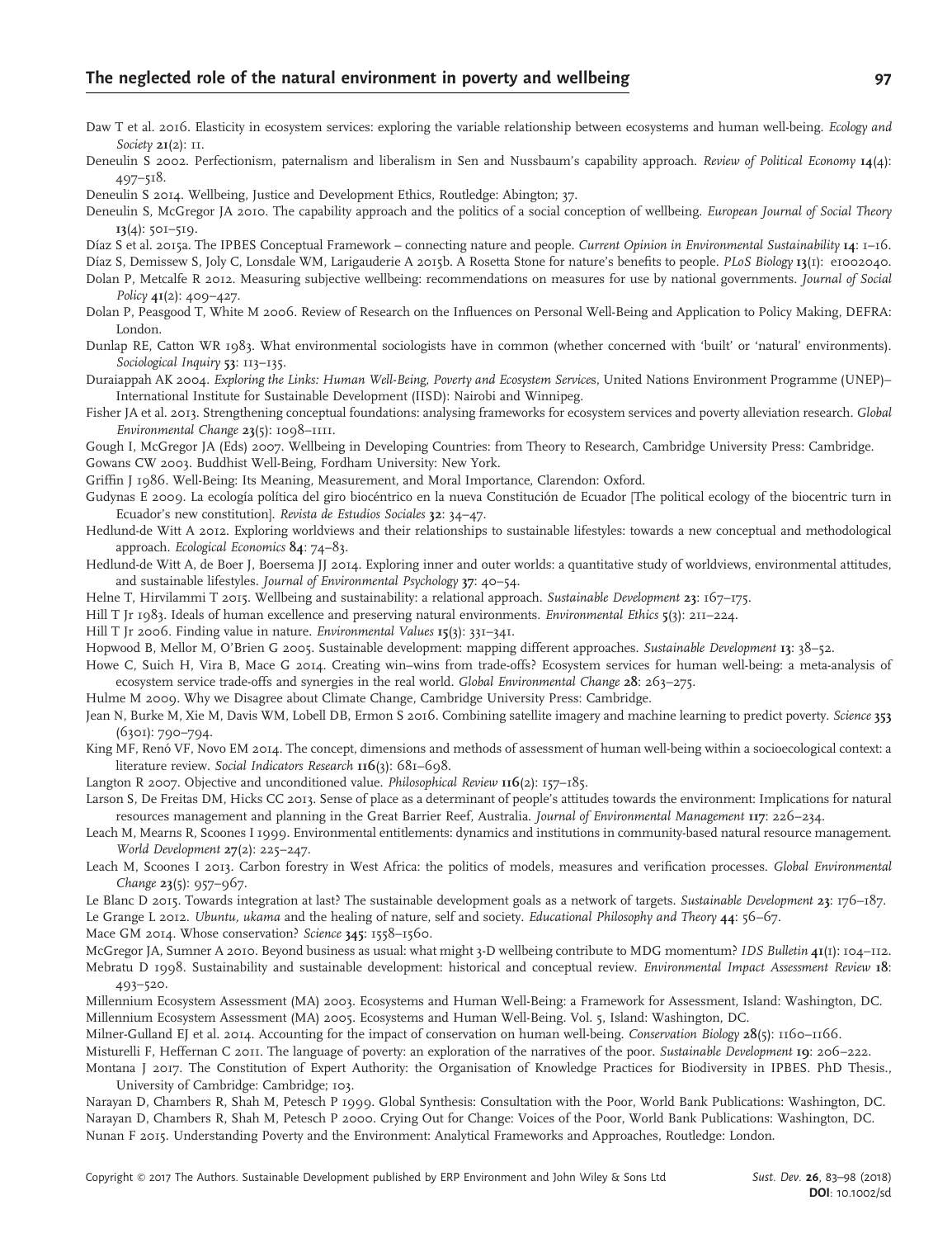#### The neglected role of the natural environment in poverty and wellbeing 97

- Daw T et al. 2016. Elasticity in ecosystem services: exploring the variable relationship between ecosystems and human well-being. Ecology and Society  $2I(2)$ : II.
- Deneulin S 2002. Perfectionism, paternalism and liberalism in Sen and Nussbaum's capability approach. Review of Political Economy 14(4): 497–518.
- Deneulin S 2014. Wellbeing, Justice and Development Ethics, Routledge: Abington; 37.
- Deneulin S, McGregor JA 2010. The capability approach and the politics of a social conception of wellbeing. European Journal of Social Theory 13(4): 501–519.

Díaz S et al. 2015a. The IPBES Conceptual Framework – connecting nature and people. Current Opinion in Environmental Sustainability 14: 1-16.

Díaz S, Demissew S, Joly C, Lonsdale WM, Larigauderie A 2015b. A Rosetta Stone for nature's benefits to people. PLoS Biology 13(1): e1002040.

Dolan P, Metcalfe R 2012. Measuring subjective wellbeing: recommendations on measures for use by national governments. Journal of Social Policy  $4I(2)$ :  $409-427$ .

- Dolan P, Peasgood T, White M 2006. Review of Research on the Influences on Personal Well-Being and Application to Policy Making, DEFRA: London.
- Dunlap RE, Catton WR 1983. What environmental sociologists have in common (whether concerned with 'built' or 'natural' environments). Sociological Inquiry 53: 113-135.
- Duraiappah AK 2004. Exploring the Links: Human Well-Being, Poverty and Ecosystem Services, United Nations Environment Programme (UNEP)– International Institute for Sustainable Development (IISD): Nairobi and Winnipeg.
- Fisher JA et al. 2013. Strengthening conceptual foundations: analysing frameworks for ecosystem services and poverty alleviation research. Global Environmental Change 23(5): 1098-1111.
- Gough I, McGregor JA (Eds) 2007. Wellbeing in Developing Countries: from Theory to Research, Cambridge University Press: Cambridge. Gowans CW 2003. Buddhist Well-Being, Fordham University: New York.
- Griffin J 1986. Well-Being: Its Meaning, Measurement, and Moral Importance, Clarendon: Oxford.
- Gudynas E 2009. La ecología política del giro biocéntrico en la nueva Constitución de Ecuador [The political ecology of the biocentric turn in Ecuador's new constitution]. Revista de Estudios Sociales 32: 34–47.
- Hedlund-de Witt A 2012. Exploring worldviews and their relationships to sustainable lifestyles: towards a new conceptual and methodological approach. Ecological Economics 84: 74–83.
- Hedlund-de Witt A, de Boer J, Boersema JJ 2014. Exploring inner and outer worlds: a quantitative study of worldviews, environmental attitudes, and sustainable lifestyles. Journal of Environmental Psychology 37: 40–54.
- Helne T, Hirvilammi T 2015. Wellbeing and sustainability: a relational approach. Sustainable Development 23: 167-175.
- Hill T Jr 1983. Ideals of human excellence and preserving natural environments. Environmental Ethics 5(3): 211-224.
- Hill T Jr 2006. Finding value in nature. Environmental Values 15(3): 331-341.
- Hopwood B, Mellor M, O'Brien G 2005. Sustainable development: mapping different approaches. Sustainable Development 13: 38–52.
- Howe C, Suich H, Vira B, Mace G 2014. Creating win–wins from trade-offs? Ecosystem services for human well-being: a meta-analysis of ecosystem service trade-offs and synergies in the real world. Global Environmental Change 28: 263-275.
- Hulme M 2009. Why we Disagree about Climate Change, Cambridge University Press: Cambridge.
- Jean N, Burke M, Xie M, Davis WM, Lobell DB, Ermon S 2016. Combining satellite imagery and machine learning to predict poverty. Science 353 (6301): 790–794.
- King MF, Renó VF, Novo EM 2014. The concept, dimensions and methods of assessment of human well-being within a socioecological context: a literature review. Social Indicators Research 116(3): 681-698.
- Langton R 2007. Objective and unconditioned value. Philosophical Review  $116(2)$ : 157-185.
- Larson S, De Freitas DM, Hicks CC 2013. Sense of place as a determinant of people's attitudes towards the environment: Implications for natural resources management and planning in the Great Barrier Reef, Australia. Journal of Environmental Management 117: 226–234.
- Leach M, Mearns R, Scoones I 1999. Environmental entitlements: dynamics and institutions in community-based natural resource management. World Development 27(2): 225–247.
- Leach M, Scoones I 2013. Carbon forestry in West Africa: the politics of models, measures and verification processes. Global Environmental Change 23(5): 957–967.
- Le Blanc D 2015. Towards integration at last? The sustainable development goals as a network of targets. Sustainable Development 23: 176–187.

Le Grange L 2012. Ubuntu, ukama and the healing of nature, self and society. Educational Philosophy and Theory 44: 56–67.

Mace GM 2014. Whose conservation? Science 345: 1558-1560.

- McGregor JA, Sumner A 2010. Beyond business as usual: what might 3-D wellbeing contribute to MDG momentum? IDS Bulletin 41(1): 104–112. Mebratu D 1998. Sustainability and sustainable development: historical and conceptual review. Environmental Impact Assessment Review 18: 493–520.
- Millennium Ecosystem Assessment (MA) 2003. Ecosystems and Human Well-Being: a Framework for Assessment, Island: Washington, DC. Millennium Ecosystem Assessment (MA) 2005. Ecosystems and Human Well-Being. Vol. 5, Island: Washington, DC.

Milner-Gulland EJ et al. 2014. Accounting for the impact of conservation on human well-being. Conservation Biology 28(5): 1160-1166.

Misturelli F, Heffernan C 2011. The language of poverty: an exploration of the narratives of the poor. Sustainable Development 19: 206–222. Montana J 2017. The Constitution of Expert Authority: the Organisation of Knowledge Practices for Biodiversity in IPBES. PhD Thesis., University of Cambridge: Cambridge; 103.

Narayan D, Chambers R, Shah M, Petesch P 1999. Global Synthesis: Consultation with the Poor, World Bank Publications: Washington, DC. Narayan D, Chambers R, Shah M, Petesch P 2000. Crying Out for Change: Voices of the Poor, World Bank Publications: Washington, DC. Nunan F 2015. Understanding Poverty and the Environment: Analytical Frameworks and Approaches, Routledge: London.